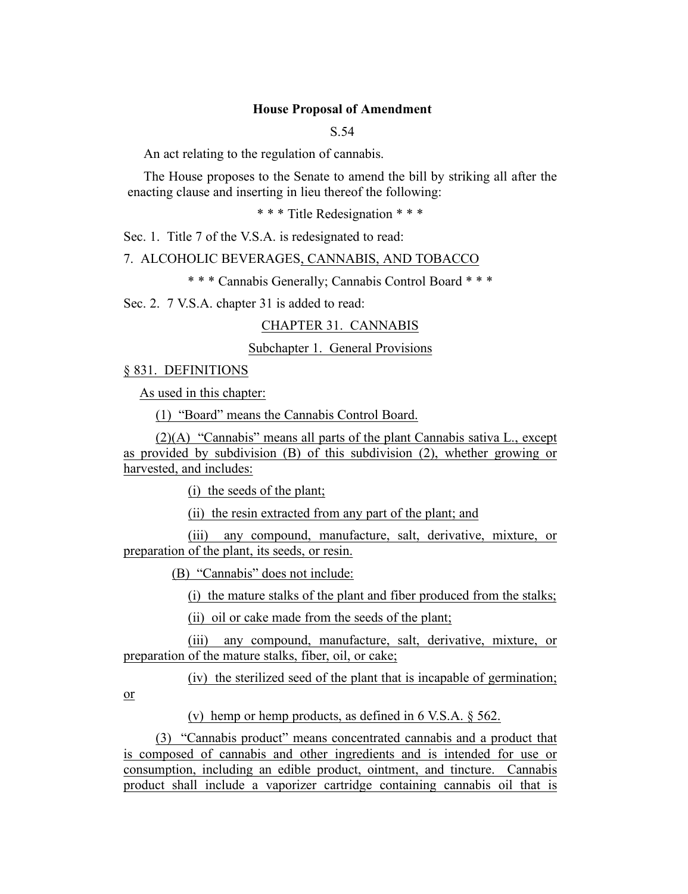## **House Proposal of Amendment**

S.54

An act relating to the regulation of cannabis.

The House proposes to the Senate to amend the bill by striking all after the enacting clause and inserting in lieu thereof the following:

\* \* \* Title Redesignation \* \* \*

Sec. 1. Title 7 of the V.S.A. is redesignated to read:

7. ALCOHOLIC BEVERAGES, CANNABIS, AND TOBACCO

\* \* \* Cannabis Generally; Cannabis Control Board \* \* \*

Sec. 2. 7 V.S.A. chapter 31 is added to read:

CHAPTER 31. CANNABIS

Subchapter 1. General Provisions

§ 831. DEFINITIONS

As used in this chapter:

(1) "Board" means the Cannabis Control Board.

(2)(A) "Cannabis" means all parts of the plant Cannabis sativa L., except as provided by subdivision (B) of this subdivision (2), whether growing or harvested, and includes:

(i) the seeds of the plant;

(ii) the resin extracted from any part of the plant; and

(iii) any compound, manufacture, salt, derivative, mixture, or preparation of the plant, its seeds, or resin.

(B) "Cannabis" does not include:

(i) the mature stalks of the plant and fiber produced from the stalks;

(ii) oil or cake made from the seeds of the plant;

(iii) any compound, manufacture, salt, derivative, mixture, or preparation of the mature stalks, fiber, oil, or cake;

(iv) the sterilized seed of the plant that is incapable of germination;

or

(v) hemp or hemp products, as defined in 6 V.S.A. § 562.

(3) "Cannabis product" means concentrated cannabis and a product that is composed of cannabis and other ingredients and is intended for use or consumption, including an edible product, ointment, and tincture. Cannabis product shall include a vaporizer cartridge containing cannabis oil that is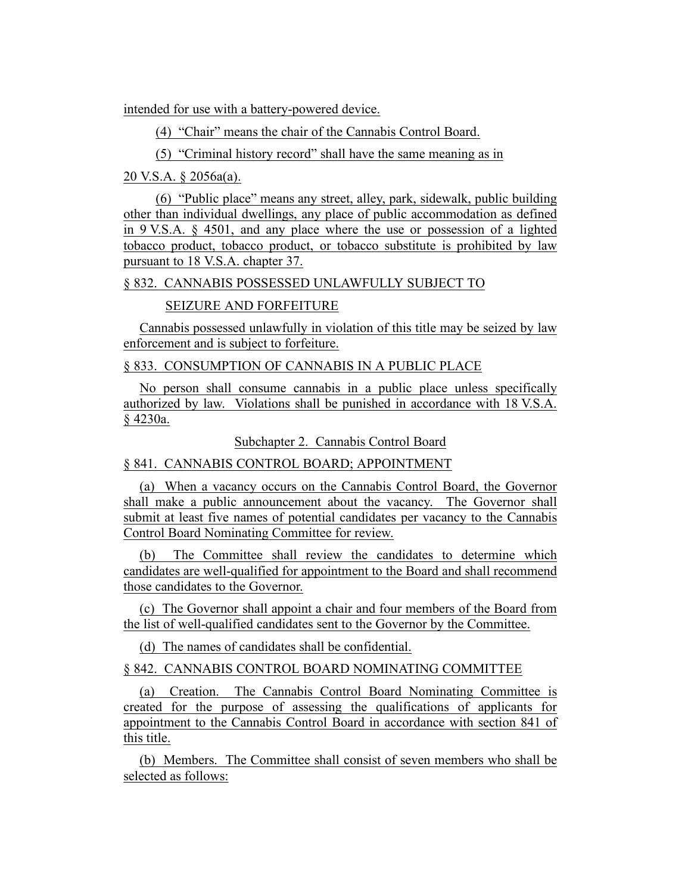intended for use with a battery-powered device.

(4) "Chair" means the chair of the Cannabis Control Board.

(5) "Criminal history record" shall have the same meaning as in

20 V.S.A. § 2056a(a).

(6) "Public place" means any street, alley, park, sidewalk, public building other than individual dwellings, any place of public accommodation as defined in 9 V.S.A. § 4501, and any place where the use or possession of a lighted tobacco product, tobacco product, or tobacco substitute is prohibited by law pursuant to 18 V.S.A. chapter 37.

§ 832. CANNABIS POSSESSED UNLAWFULLY SUBJECT TO

SEIZURE AND FORFEITURE

Cannabis possessed unlawfully in violation of this title may be seized by law enforcement and is subject to forfeiture.

§ 833. CONSUMPTION OF CANNABIS IN A PUBLIC PLACE

No person shall consume cannabis in a public place unless specifically authorized by law. Violations shall be punished in accordance with 18 V.S.A. § 4230a.

Subchapter 2. Cannabis Control Board

§ 841. CANNABIS CONTROL BOARD; APPOINTMENT

(a) When a vacancy occurs on the Cannabis Control Board, the Governor shall make a public announcement about the vacancy. The Governor shall submit at least five names of potential candidates per vacancy to the Cannabis Control Board Nominating Committee for review.

(b) The Committee shall review the candidates to determine which candidates are well-qualified for appointment to the Board and shall recommend those candidates to the Governor.

(c) The Governor shall appoint a chair and four members of the Board from the list of well-qualified candidates sent to the Governor by the Committee.

(d) The names of candidates shall be confidential.

§ 842. CANNABIS CONTROL BOARD NOMINATING COMMITTEE

(a) Creation. The Cannabis Control Board Nominating Committee is created for the purpose of assessing the qualifications of applicants for appointment to the Cannabis Control Board in accordance with section 841 of this title.

(b) Members. The Committee shall consist of seven members who shall be selected as follows: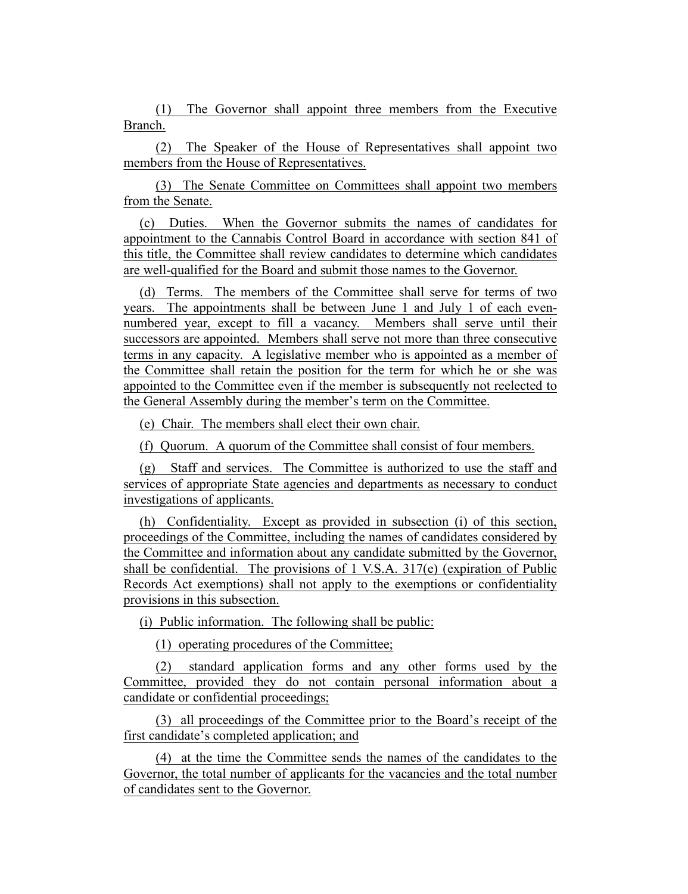(1) The Governor shall appoint three members from the Executive Branch.

(2) The Speaker of the House of Representatives shall appoint two members from the House of Representatives.

(3) The Senate Committee on Committees shall appoint two members from the Senate.

(c) Duties. When the Governor submits the names of candidates for appointment to the Cannabis Control Board in accordance with section 841 of this title, the Committee shall review candidates to determine which candidates are well-qualified for the Board and submit those names to the Governor.

(d) Terms. The members of the Committee shall serve for terms of two years. The appointments shall be between June 1 and July 1 of each evennumbered year, except to fill a vacancy. Members shall serve until their successors are appointed. Members shall serve not more than three consecutive terms in any capacity. A legislative member who is appointed as a member of the Committee shall retain the position for the term for which he or she was appointed to the Committee even if the member is subsequently not reelected to the General Assembly during the member's term on the Committee.

(e) Chair. The members shall elect their own chair.

(f) Quorum. A quorum of the Committee shall consist of four members.

(g) Staff and services. The Committee is authorized to use the staff and services of appropriate State agencies and departments as necessary to conduct investigations of applicants.

(h) Confidentiality. Except as provided in subsection (i) of this section, proceedings of the Committee, including the names of candidates considered by the Committee and information about any candidate submitted by the Governor, shall be confidential. The provisions of 1 V.S.A.  $317(e)$  (expiration of Public Records Act exemptions) shall not apply to the exemptions or confidentiality provisions in this subsection.

(i) Public information. The following shall be public:

(1) operating procedures of the Committee;

(2) standard application forms and any other forms used by the Committee, provided they do not contain personal information about a candidate or confidential proceedings;

(3) all proceedings of the Committee prior to the Board's receipt of the first candidate's completed application; and

(4) at the time the Committee sends the names of the candidates to the Governor, the total number of applicants for the vacancies and the total number of candidates sent to the Governor.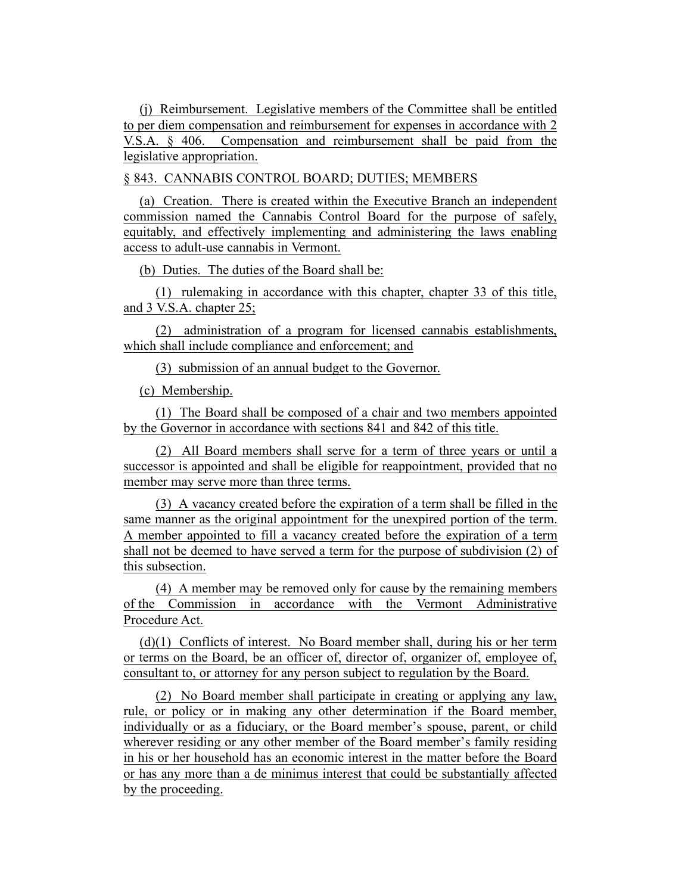(j) Reimbursement. Legislative members of the Committee shall be entitled to per diem compensation and reimbursement for expenses in accordance with 2 V.S.A. § 406. Compensation and reimbursement shall be paid from the legislative appropriation.

§ 843. CANNABIS CONTROL BOARD; DUTIES; MEMBERS

(a) Creation. There is created within the Executive Branch an independent commission named the Cannabis Control Board for the purpose of safely, equitably, and effectively implementing and administering the laws enabling access to adult-use cannabis in Vermont.

(b) Duties. The duties of the Board shall be:

(1) rulemaking in accordance with this chapter, chapter 33 of this title, and 3 V.S.A. chapter 25;

(2) administration of a program for licensed cannabis establishments, which shall include compliance and enforcement; and

(3) submission of an annual budget to the Governor.

(c) Membership.

(1) The Board shall be composed of a chair and two members appointed by the Governor in accordance with sections 841 and 842 of this title.

(2) All Board members shall serve for a term of three years or until a successor is appointed and shall be eligible for reappointment, provided that no member may serve more than three terms.

(3) A vacancy created before the expiration of a term shall be filled in the same manner as the original appointment for the unexpired portion of the term. A member appointed to fill a vacancy created before the expiration of a term shall not be deemed to have served a term for the purpose of subdivision (2) of this subsection.

(4) A member may be removed only for cause by the remaining members of the Commission in accordance with the Vermont Administrative Procedure Act.

(d)(1) Conflicts of interest. No Board member shall, during his or her term or terms on the Board, be an officer of, director of, organizer of, employee of, consultant to, or attorney for any person subject to regulation by the Board.

(2) No Board member shall participate in creating or applying any law, rule, or policy or in making any other determination if the Board member, individually or as a fiduciary, or the Board member's spouse, parent, or child wherever residing or any other member of the Board member's family residing in his or her household has an economic interest in the matter before the Board or has any more than a de minimus interest that could be substantially affected by the proceeding.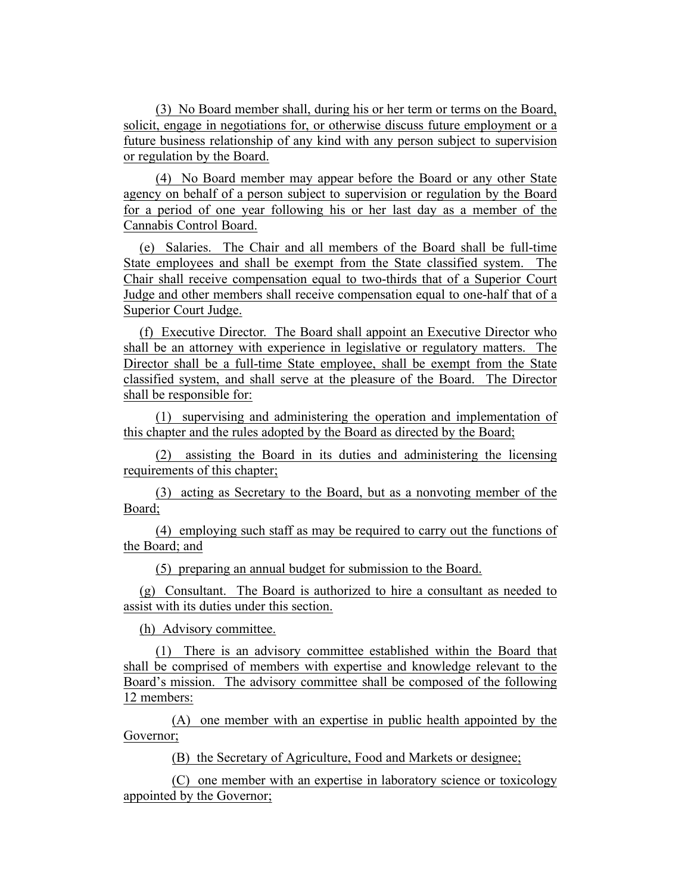(3) No Board member shall, during his or her term or terms on the Board, solicit, engage in negotiations for, or otherwise discuss future employment or a future business relationship of any kind with any person subject to supervision or regulation by the Board.

(4) No Board member may appear before the Board or any other State agency on behalf of a person subject to supervision or regulation by the Board for a period of one year following his or her last day as a member of the Cannabis Control Board.

(e) Salaries. The Chair and all members of the Board shall be full-time State employees and shall be exempt from the State classified system. The Chair shall receive compensation equal to two-thirds that of a Superior Court Judge and other members shall receive compensation equal to one-half that of a Superior Court Judge.

(f) Executive Director. The Board shall appoint an Executive Director who shall be an attorney with experience in legislative or regulatory matters. The Director shall be a full-time State employee, shall be exempt from the State classified system, and shall serve at the pleasure of the Board. The Director shall be responsible for:

(1) supervising and administering the operation and implementation of this chapter and the rules adopted by the Board as directed by the Board;

(2) assisting the Board in its duties and administering the licensing requirements of this chapter;

(3) acting as Secretary to the Board, but as a nonvoting member of the Board;

(4) employing such staff as may be required to carry out the functions of the Board; and

(5) preparing an annual budget for submission to the Board.

(g) Consultant. The Board is authorized to hire a consultant as needed to assist with its duties under this section.

(h) Advisory committee.

(1) There is an advisory committee established within the Board that shall be comprised of members with expertise and knowledge relevant to the Board's mission. The advisory committee shall be composed of the following 12 members:

(A) one member with an expertise in public health appointed by the Governor;

(B) the Secretary of Agriculture, Food and Markets or designee;

(C) one member with an expertise in laboratory science or toxicology appointed by the Governor;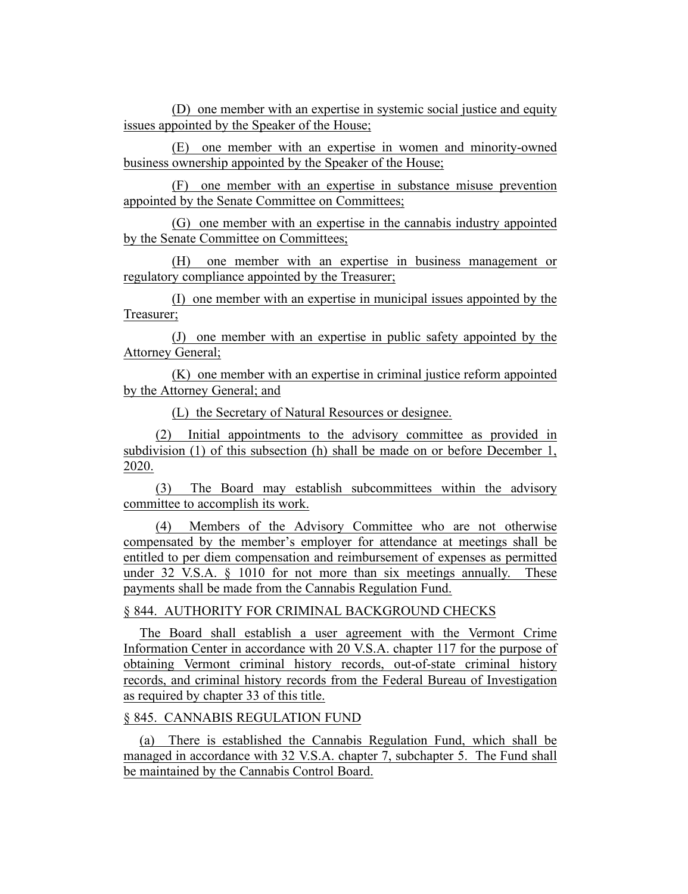(D) one member with an expertise in systemic social justice and equity issues appointed by the Speaker of the House;

(E) one member with an expertise in women and minority-owned business ownership appointed by the Speaker of the House;

(F) one member with an expertise in substance misuse prevention appointed by the Senate Committee on Committees;

(G) one member with an expertise in the cannabis industry appointed by the Senate Committee on Committees;

(H) one member with an expertise in business management or regulatory compliance appointed by the Treasurer;

(I) one member with an expertise in municipal issues appointed by the Treasurer;

(J) one member with an expertise in public safety appointed by the Attorney General;

(K) one member with an expertise in criminal justice reform appointed by the Attorney General; and

(L) the Secretary of Natural Resources or designee.

(2) Initial appointments to the advisory committee as provided in subdivision (1) of this subsection (h) shall be made on or before December 1, 2020.

(3) The Board may establish subcommittees within the advisory committee to accomplish its work.

(4) Members of the Advisory Committee who are not otherwise compensated by the member's employer for attendance at meetings shall be entitled to per diem compensation and reimbursement of expenses as permitted under 32 V.S.A.  $\S$  1010 for not more than six meetings annually. These payments shall be made from the Cannabis Regulation Fund.

# § 844. AUTHORITY FOR CRIMINAL BACKGROUND CHECKS

The Board shall establish a user agreement with the Vermont Crime Information Center in accordance with 20 V.S.A. chapter 117 for the purpose of obtaining Vermont criminal history records, out-of-state criminal history records, and criminal history records from the Federal Bureau of Investigation as required by chapter 33 of this title.

## § 845. CANNABIS REGULATION FUND

(a) There is established the Cannabis Regulation Fund, which shall be managed in accordance with 32 V.S.A. chapter 7, subchapter 5. The Fund shall be maintained by the Cannabis Control Board.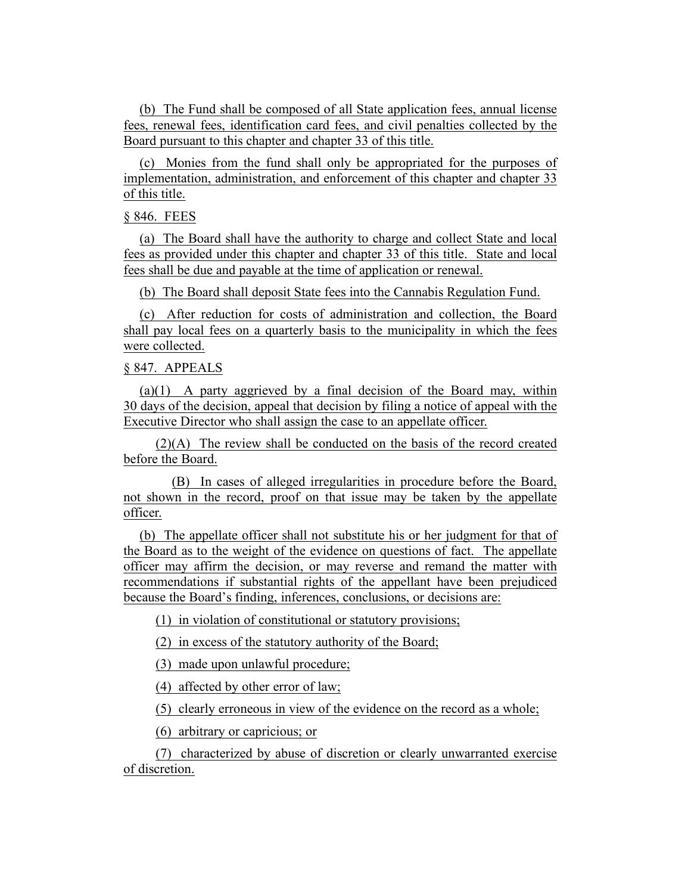(b) The Fund shall be composed of all State application fees, annual license fees, renewal fees, identification card fees, and civil penalties collected by the Board pursuant to this chapter and chapter 33 of this title.

(c) Monies from the fund shall only be appropriated for the purposes of implementation, administration, and enforcement of this chapter and chapter 33 of this title.

## § 846. FEES

(a) The Board shall have the authority to charge and collect State and local fees as provided under this chapter and chapter 33 of this title. State and local fees shall be due and payable at the time of application or renewal.

(b) The Board shall deposit State fees into the Cannabis Regulation Fund.

(c) After reduction for costs of administration and collection, the Board shall pay local fees on a quarterly basis to the municipality in which the fees were collected.

## § 847. APPEALS

(a)(1) A party aggrieved by a final decision of the Board may, within 30 days of the decision, appeal that decision by filing a notice of appeal with the Executive Director who shall assign the case to an appellate officer.

(2)(A) The review shall be conducted on the basis of the record created before the Board.

(B) In cases of alleged irregularities in procedure before the Board, not shown in the record, proof on that issue may be taken by the appellate officer.

(b) The appellate officer shall not substitute his or her judgment for that of the Board as to the weight of the evidence on questions of fact. The appellate officer may affirm the decision, or may reverse and remand the matter with recommendations if substantial rights of the appellant have been prejudiced because the Board's finding, inferences, conclusions, or decisions are:

(1) in violation of constitutional or statutory provisions;

(2) in excess of the statutory authority of the Board;

(3) made upon unlawful procedure;

(4) affected by other error of law;

(5) clearly erroneous in view of the evidence on the record as a whole;

(6) arbitrary or capricious; or

(7) characterized by abuse of discretion or clearly unwarranted exercise of discretion.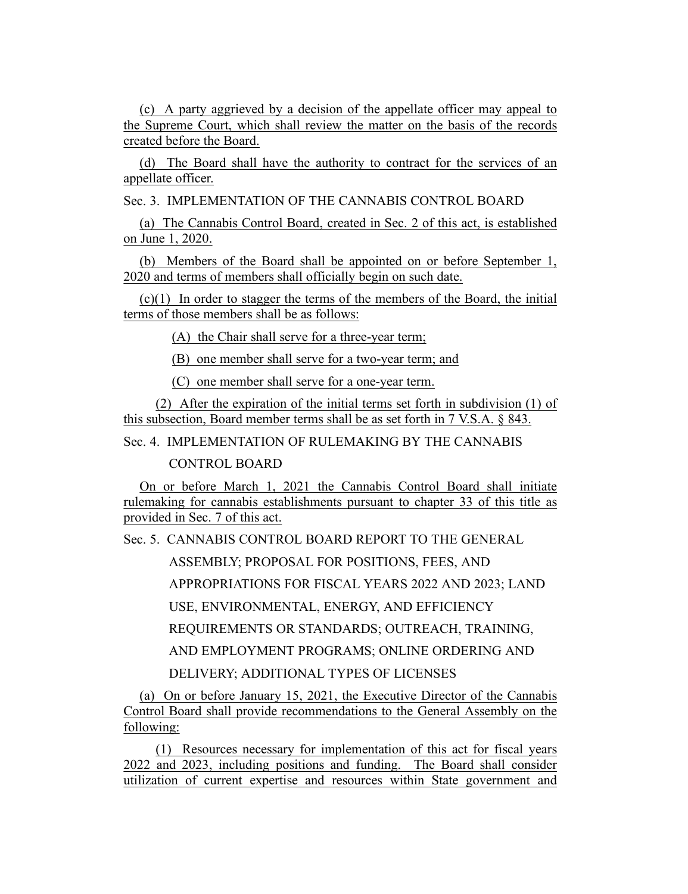(c) A party aggrieved by a decision of the appellate officer may appeal to the Supreme Court, which shall review the matter on the basis of the records created before the Board.

(d) The Board shall have the authority to contract for the services of an appellate officer.

Sec. 3. IMPLEMENTATION OF THE CANNABIS CONTROL BOARD

(a) The Cannabis Control Board, created in Sec. 2 of this act, is established on June 1, 2020.

(b) Members of the Board shall be appointed on or before September 1, 2020 and terms of members shall officially begin on such date.

(c)(1) In order to stagger the terms of the members of the Board, the initial terms of those members shall be as follows:

(A) the Chair shall serve for a three-year term;

(B) one member shall serve for a two-year term; and

(C) one member shall serve for a one-year term.

(2) After the expiration of the initial terms set forth in subdivision (1) of this subsection, Board member terms shall be as set forth in 7 V.S.A. § 843.

Sec. 4. IMPLEMENTATION OF RULEMAKING BY THE CANNABIS

CONTROL BOARD

On or before March 1, 2021 the Cannabis Control Board shall initiate rulemaking for cannabis establishments pursuant to chapter 33 of this title as provided in Sec. 7 of this act.

Sec. 5. CANNABIS CONTROL BOARD REPORT TO THE GENERAL

ASSEMBLY; PROPOSAL FOR POSITIONS, FEES, AND

APPROPRIATIONS FOR FISCAL YEARS 2022 AND 2023; LAND

USE, ENVIRONMENTAL, ENERGY, AND EFFICIENCY

REQUIREMENTS OR STANDARDS; OUTREACH, TRAINING,

AND EMPLOYMENT PROGRAMS; ONLINE ORDERING AND

DELIVERY; ADDITIONAL TYPES OF LICENSES

(a) On or before January 15, 2021, the Executive Director of the Cannabis Control Board shall provide recommendations to the General Assembly on the following:

(1) Resources necessary for implementation of this act for fiscal years 2022 and 2023, including positions and funding. The Board shall consider utilization of current expertise and resources within State government and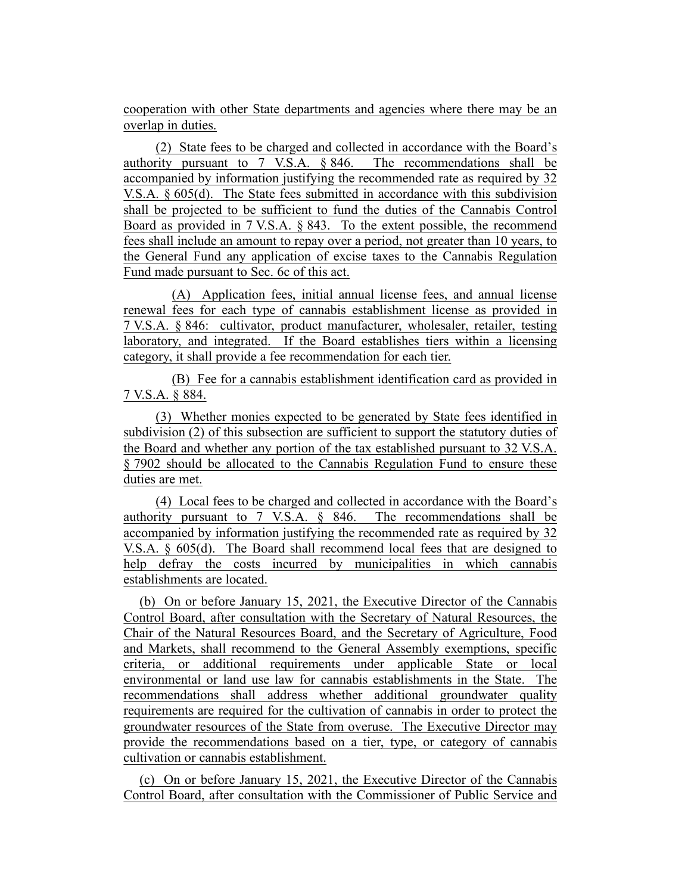cooperation with other State departments and agencies where there may be an overlap in duties.

(2) State fees to be charged and collected in accordance with the Board's authority pursuant to 7 V.S.A. § 846. The recommendations shall be accompanied by information justifying the recommended rate as required by 32 V.S.A. § 605(d). The State fees submitted in accordance with this subdivision shall be projected to be sufficient to fund the duties of the Cannabis Control Board as provided in 7 V.S.A. § 843. To the extent possible, the recommend fees shall include an amount to repay over a period, not greater than 10 years, to the General Fund any application of excise taxes to the Cannabis Regulation Fund made pursuant to Sec. 6c of this act.

(A) Application fees, initial annual license fees, and annual license renewal fees for each type of cannabis establishment license as provided in 7 V.S.A. § 846: cultivator, product manufacturer, wholesaler, retailer, testing laboratory, and integrated. If the Board establishes tiers within a licensing category, it shall provide a fee recommendation for each tier.

(B) Fee for a cannabis establishment identification card as provided in 7 V.S.A. § 884.

(3) Whether monies expected to be generated by State fees identified in subdivision (2) of this subsection are sufficient to support the statutory duties of the Board and whether any portion of the tax established pursuant to 32 V.S.A. § 7902 should be allocated to the Cannabis Regulation Fund to ensure these duties are met.

(4) Local fees to be charged and collected in accordance with the Board's authority pursuant to 7 V.S.A. § 846. The recommendations shall be accompanied by information justifying the recommended rate as required by 32 V.S.A. § 605(d). The Board shall recommend local fees that are designed to help defray the costs incurred by municipalities in which cannabis establishments are located.

(b) On or before January 15, 2021, the Executive Director of the Cannabis Control Board, after consultation with the Secretary of Natural Resources, the Chair of the Natural Resources Board, and the Secretary of Agriculture, Food and Markets, shall recommend to the General Assembly exemptions, specific criteria, or additional requirements under applicable State or local environmental or land use law for cannabis establishments in the State. The recommendations shall address whether additional groundwater quality requirements are required for the cultivation of cannabis in order to protect the groundwater resources of the State from overuse. The Executive Director may provide the recommendations based on a tier, type, or category of cannabis cultivation or cannabis establishment.

(c) On or before January 15, 2021, the Executive Director of the Cannabis Control Board, after consultation with the Commissioner of Public Service and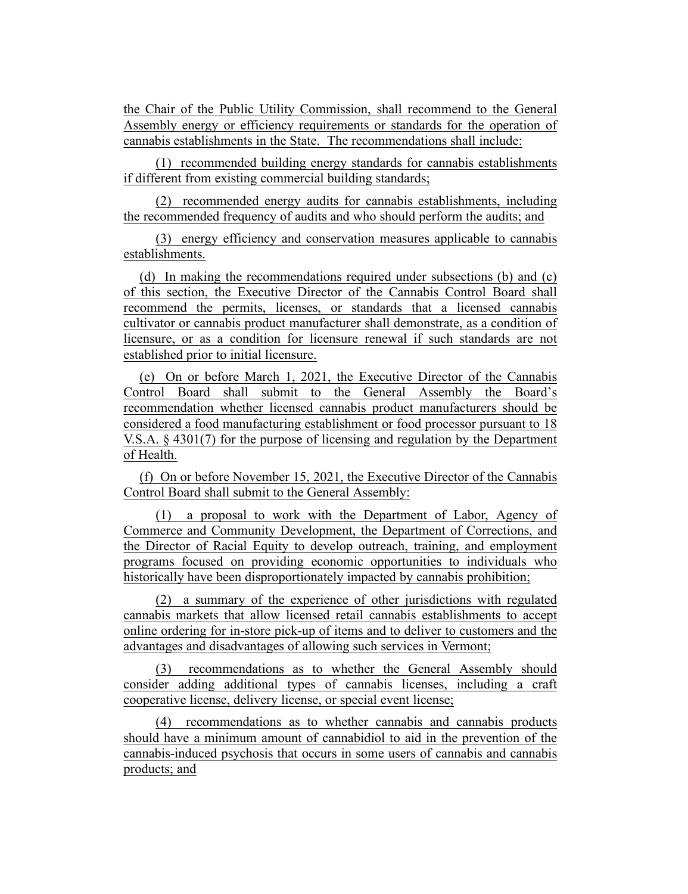the Chair of the Public Utility Commission, shall recommend to the General Assembly energy or efficiency requirements or standards for the operation of cannabis establishments in the State. The recommendations shall include:

(1) recommended building energy standards for cannabis establishments if different from existing commercial building standards;

(2) recommended energy audits for cannabis establishments, including the recommended frequency of audits and who should perform the audits; and

(3) energy efficiency and conservation measures applicable to cannabis establishments.

(d) In making the recommendations required under subsections (b) and (c) of this section, the Executive Director of the Cannabis Control Board shall recommend the permits, licenses, or standards that a licensed cannabis cultivator or cannabis product manufacturer shall demonstrate, as a condition of licensure, or as a condition for licensure renewal if such standards are not established prior to initial licensure.

(e) On or before March 1, 2021, the Executive Director of the Cannabis Control Board shall submit to the General Assembly the Board's recommendation whether licensed cannabis product manufacturers should be considered a food manufacturing establishment or food processor pursuant to 18 V.S.A. § 4301(7) for the purpose of licensing and regulation by the Department of Health.

(f) On or before November 15, 2021, the Executive Director of the Cannabis Control Board shall submit to the General Assembly:

(1) a proposal to work with the Department of Labor, Agency of Commerce and Community Development, the Department of Corrections, and the Director of Racial Equity to develop outreach, training, and employment programs focused on providing economic opportunities to individuals who historically have been disproportionately impacted by cannabis prohibition;

(2) a summary of the experience of other jurisdictions with regulated cannabis markets that allow licensed retail cannabis establishments to accept online ordering for in-store pick-up of items and to deliver to customers and the advantages and disadvantages of allowing such services in Vermont;

(3) recommendations as to whether the General Assembly should consider adding additional types of cannabis licenses, including a craft cooperative license, delivery license, or special event license;

(4) recommendations as to whether cannabis and cannabis products should have a minimum amount of cannabidiol to aid in the prevention of the cannabis-induced psychosis that occurs in some users of cannabis and cannabis products; and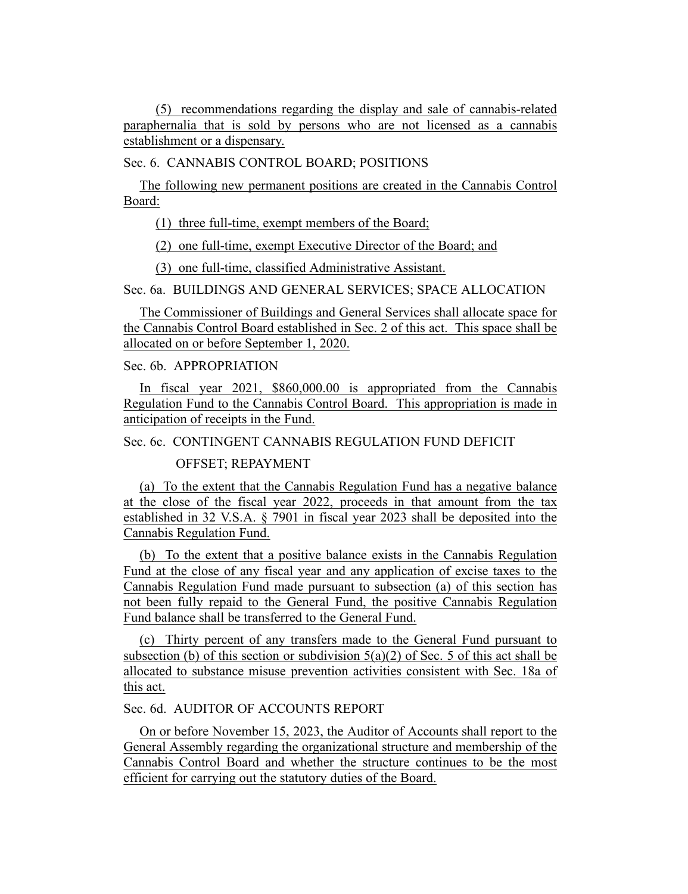(5) recommendations regarding the display and sale of cannabis-related paraphernalia that is sold by persons who are not licensed as a cannabis establishment or a dispensary.

Sec. 6. CANNABIS CONTROL BOARD; POSITIONS

The following new permanent positions are created in the Cannabis Control Board:

(1) three full-time, exempt members of the Board;

(2) one full-time, exempt Executive Director of the Board; and

(3) one full-time, classified Administrative Assistant.

Sec. 6a. BUILDINGS AND GENERAL SERVICES; SPACE ALLOCATION

The Commissioner of Buildings and General Services shall allocate space for the Cannabis Control Board established in Sec. 2 of this act. This space shall be allocated on or before September 1, 2020.

## Sec. 6b. APPROPRIATION

In fiscal year 2021, \$860,000.00 is appropriated from the Cannabis Regulation Fund to the Cannabis Control Board. This appropriation is made in anticipation of receipts in the Fund.

Sec. 6c. CONTINGENT CANNABIS REGULATION FUND DEFICIT

# OFFSET; REPAYMENT

(a) To the extent that the Cannabis Regulation Fund has a negative balance at the close of the fiscal year 2022, proceeds in that amount from the tax established in 32 V.S.A. § 7901 in fiscal year 2023 shall be deposited into the Cannabis Regulation Fund.

(b) To the extent that a positive balance exists in the Cannabis Regulation Fund at the close of any fiscal year and any application of excise taxes to the Cannabis Regulation Fund made pursuant to subsection (a) of this section has not been fully repaid to the General Fund, the positive Cannabis Regulation Fund balance shall be transferred to the General Fund.

(c) Thirty percent of any transfers made to the General Fund pursuant to subsection (b) of this section or subdivision  $5(a)(2)$  of Sec. 5 of this act shall be allocated to substance misuse prevention activities consistent with Sec. 18a of this act.

# Sec. 6d. AUDITOR OF ACCOUNTS REPORT

On or before November 15, 2023, the Auditor of Accounts shall report to the General Assembly regarding the organizational structure and membership of the Cannabis Control Board and whether the structure continues to be the most efficient for carrying out the statutory duties of the Board.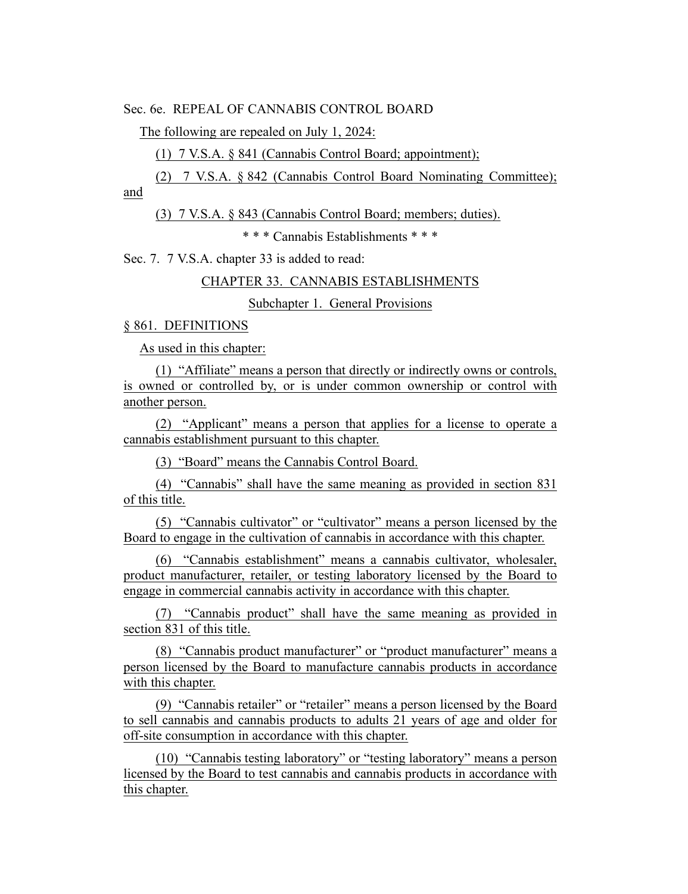Sec. 6e. REPEAL OF CANNABIS CONTROL BOARD

The following are repealed on July 1, 2024:

(1) 7 V.S.A. § 841 (Cannabis Control Board; appointment);

(2) 7 V.S.A. § 842 (Cannabis Control Board Nominating Committee); and

(3) 7 V.S.A. § 843 (Cannabis Control Board; members; duties).

\* \* \* Cannabis Establishments \* \* \*

Sec. 7. 7 V.S.A. chapter 33 is added to read:

CHAPTER 33. CANNABIS ESTABLISHMENTS

Subchapter 1. General Provisions

§ 861. DEFINITIONS

As used in this chapter:

(1) "Affiliate" means a person that directly or indirectly owns or controls, is owned or controlled by, or is under common ownership or control with another person.

(2) "Applicant" means a person that applies for a license to operate a cannabis establishment pursuant to this chapter.

(3) "Board" means the Cannabis Control Board.

(4) "Cannabis" shall have the same meaning as provided in section 831 of this title.

(5) "Cannabis cultivator" or "cultivator" means a person licensed by the Board to engage in the cultivation of cannabis in accordance with this chapter.

(6) "Cannabis establishment" means a cannabis cultivator, wholesaler, product manufacturer, retailer, or testing laboratory licensed by the Board to engage in commercial cannabis activity in accordance with this chapter.

(7) "Cannabis product" shall have the same meaning as provided in section 831 of this title.

(8) "Cannabis product manufacturer" or "product manufacturer" means a person licensed by the Board to manufacture cannabis products in accordance with this chapter.

(9) "Cannabis retailer" or "retailer" means a person licensed by the Board to sell cannabis and cannabis products to adults 21 years of age and older for off-site consumption in accordance with this chapter.

(10) "Cannabis testing laboratory" or "testing laboratory" means a person licensed by the Board to test cannabis and cannabis products in accordance with this chapter.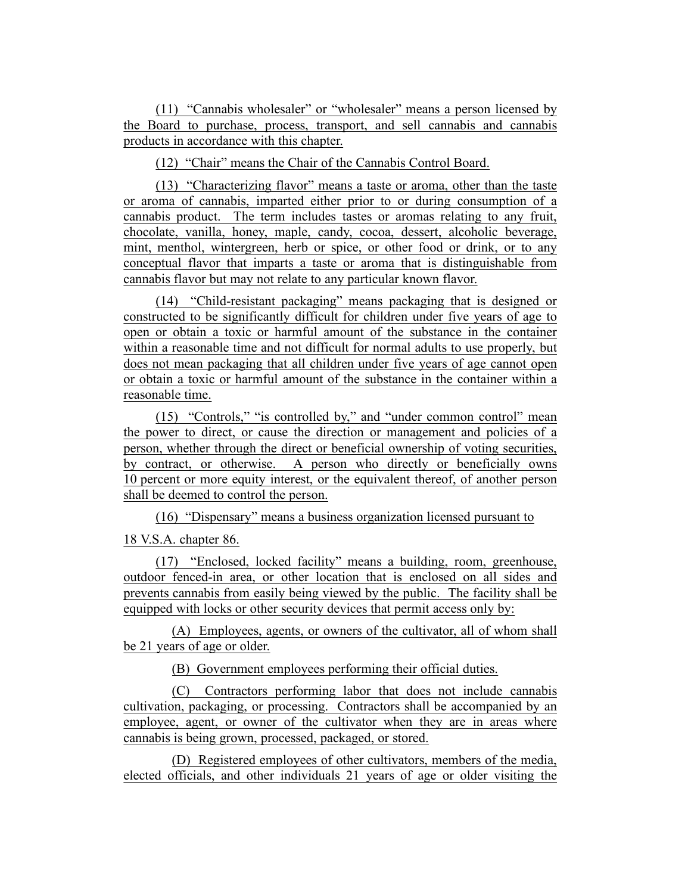(11) "Cannabis wholesaler" or "wholesaler" means a person licensed by the Board to purchase, process, transport, and sell cannabis and cannabis products in accordance with this chapter.

(12) "Chair" means the Chair of the Cannabis Control Board.

(13) "Characterizing flavor" means a taste or aroma, other than the taste or aroma of cannabis, imparted either prior to or during consumption of a cannabis product. The term includes tastes or aromas relating to any fruit, chocolate, vanilla, honey, maple, candy, cocoa, dessert, alcoholic beverage, mint, menthol, wintergreen, herb or spice, or other food or drink, or to any conceptual flavor that imparts a taste or aroma that is distinguishable from cannabis flavor but may not relate to any particular known flavor.

(14) "Child-resistant packaging" means packaging that is designed or constructed to be significantly difficult for children under five years of age to open or obtain a toxic or harmful amount of the substance in the container within a reasonable time and not difficult for normal adults to use properly, but does not mean packaging that all children under five years of age cannot open or obtain a toxic or harmful amount of the substance in the container within a reasonable time.

(15) "Controls," "is controlled by," and "under common control" mean the power to direct, or cause the direction or management and policies of a person, whether through the direct or beneficial ownership of voting securities, by contract, or otherwise. A person who directly or beneficially owns 10 percent or more equity interest, or the equivalent thereof, of another person shall be deemed to control the person.

(16) "Dispensary" means a business organization licensed pursuant to

18 V.S.A. chapter 86.

(17) "Enclosed, locked facility" means a building, room, greenhouse, outdoor fenced-in area, or other location that is enclosed on all sides and prevents cannabis from easily being viewed by the public. The facility shall be equipped with locks or other security devices that permit access only by:

(A) Employees, agents, or owners of the cultivator, all of whom shall be 21 years of age or older.

(B) Government employees performing their official duties.

(C) Contractors performing labor that does not include cannabis cultivation, packaging, or processing. Contractors shall be accompanied by an employee, agent, or owner of the cultivator when they are in areas where cannabis is being grown, processed, packaged, or stored.

(D) Registered employees of other cultivators, members of the media, elected officials, and other individuals 21 years of age or older visiting the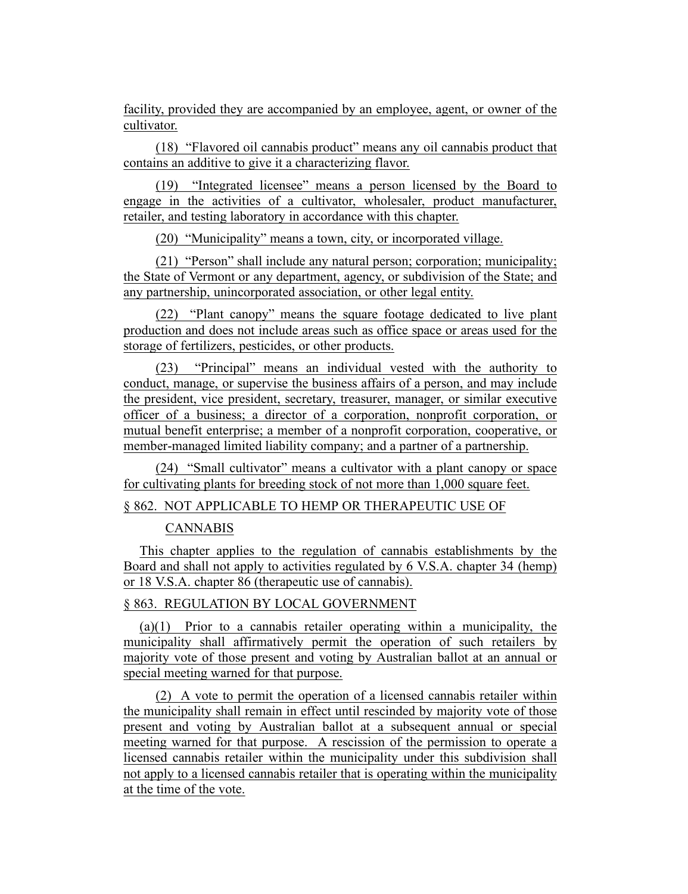facility, provided they are accompanied by an employee, agent, or owner of the cultivator.

(18) "Flavored oil cannabis product" means any oil cannabis product that contains an additive to give it a characterizing flavor.

(19) "Integrated licensee" means a person licensed by the Board to engage in the activities of a cultivator, wholesaler, product manufacturer, retailer, and testing laboratory in accordance with this chapter.

(20) "Municipality" means a town, city, or incorporated village.

(21) "Person" shall include any natural person; corporation; municipality; the State of Vermont or any department, agency, or subdivision of the State; and any partnership, unincorporated association, or other legal entity.

(22) "Plant canopy" means the square footage dedicated to live plant production and does not include areas such as office space or areas used for the storage of fertilizers, pesticides, or other products.

(23) "Principal" means an individual vested with the authority to conduct, manage, or supervise the business affairs of a person, and may include the president, vice president, secretary, treasurer, manager, or similar executive officer of a business; a director of a corporation, nonprofit corporation, or mutual benefit enterprise; a member of a nonprofit corporation, cooperative, or member-managed limited liability company; and a partner of a partnership.

(24) "Small cultivator" means a cultivator with a plant canopy or space for cultivating plants for breeding stock of not more than 1,000 square feet.

§ 862. NOT APPLICABLE TO HEMP OR THERAPEUTIC USE OF

# CANNABIS

This chapter applies to the regulation of cannabis establishments by the Board and shall not apply to activities regulated by 6 V.S.A. chapter 34 (hemp) or 18 V.S.A. chapter 86 (therapeutic use of cannabis).

## § 863. REGULATION BY LOCAL GOVERNMENT

(a)(1) Prior to a cannabis retailer operating within a municipality, the municipality shall affirmatively permit the operation of such retailers by majority vote of those present and voting by Australian ballot at an annual or special meeting warned for that purpose.

(2) A vote to permit the operation of a licensed cannabis retailer within the municipality shall remain in effect until rescinded by majority vote of those present and voting by Australian ballot at a subsequent annual or special meeting warned for that purpose. A rescission of the permission to operate a licensed cannabis retailer within the municipality under this subdivision shall not apply to a licensed cannabis retailer that is operating within the municipality at the time of the vote.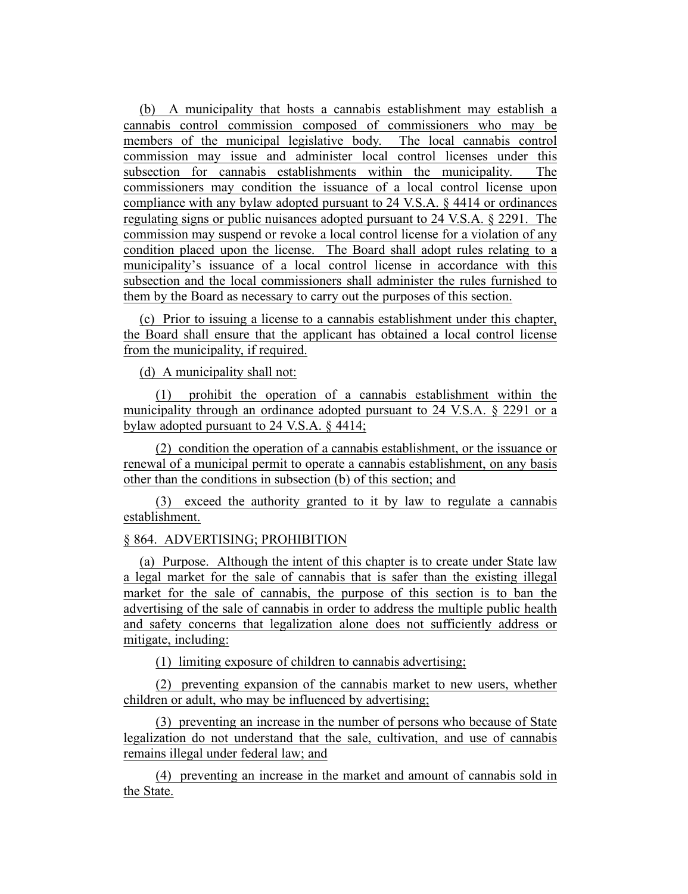(b) A municipality that hosts a cannabis establishment may establish a cannabis control commission composed of commissioners who may be members of the municipal legislative body. The local cannabis control commission may issue and administer local control licenses under this subsection for cannabis establishments within the municipality. The commissioners may condition the issuance of a local control license upon compliance with any bylaw adopted pursuant to 24 V.S.A. § 4414 or ordinances regulating signs or public nuisances adopted pursuant to 24 V.S.A. § 2291. The commission may suspend or revoke a local control license for a violation of any condition placed upon the license. The Board shall adopt rules relating to a municipality's issuance of a local control license in accordance with this subsection and the local commissioners shall administer the rules furnished to them by the Board as necessary to carry out the purposes of this section.

(c) Prior to issuing a license to a cannabis establishment under this chapter, the Board shall ensure that the applicant has obtained a local control license from the municipality, if required.

(d) A municipality shall not:

(1) prohibit the operation of a cannabis establishment within the municipality through an ordinance adopted pursuant to 24 V.S.A. § 2291 or a bylaw adopted pursuant to 24 V.S.A. § 4414;

(2) condition the operation of a cannabis establishment, or the issuance or renewal of a municipal permit to operate a cannabis establishment, on any basis other than the conditions in subsection (b) of this section; and

(3) exceed the authority granted to it by law to regulate a cannabis establishment.

§ 864. ADVERTISING; PROHIBITION

(a) Purpose. Although the intent of this chapter is to create under State law a legal market for the sale of cannabis that is safer than the existing illegal market for the sale of cannabis, the purpose of this section is to ban the advertising of the sale of cannabis in order to address the multiple public health and safety concerns that legalization alone does not sufficiently address or mitigate, including:

(1) limiting exposure of children to cannabis advertising;

(2) preventing expansion of the cannabis market to new users, whether children or adult, who may be influenced by advertising;

(3) preventing an increase in the number of persons who because of State legalization do not understand that the sale, cultivation, and use of cannabis remains illegal under federal law; and

(4) preventing an increase in the market and amount of cannabis sold in the State.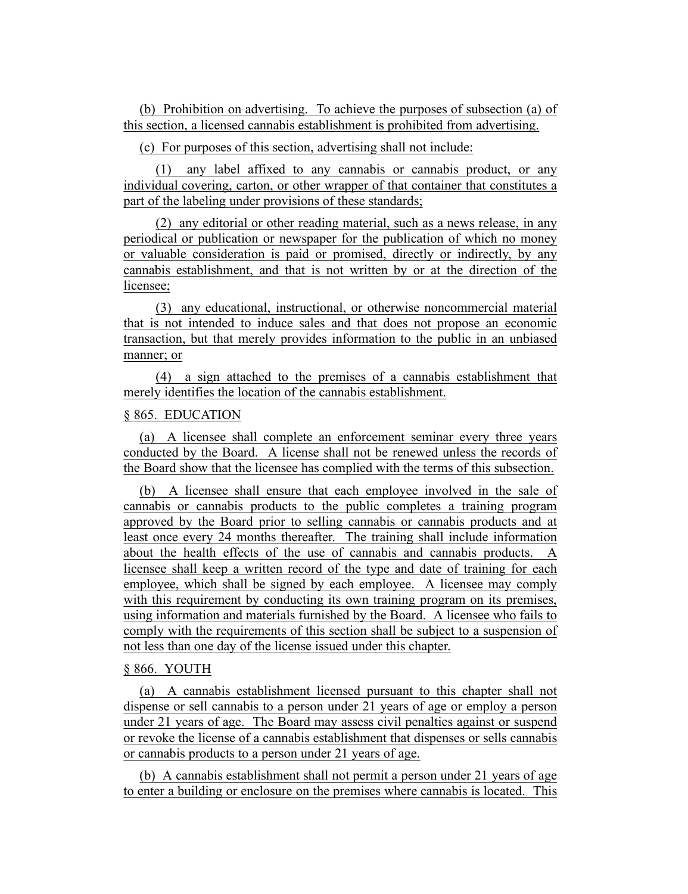(b) Prohibition on advertising. To achieve the purposes of subsection (a) of this section, a licensed cannabis establishment is prohibited from advertising.

(c) For purposes of this section, advertising shall not include:

(1) any label affixed to any cannabis or cannabis product, or any individual covering, carton, or other wrapper of that container that constitutes a part of the labeling under provisions of these standards;

(2) any editorial or other reading material, such as a news release, in any periodical or publication or newspaper for the publication of which no money or valuable consideration is paid or promised, directly or indirectly, by any cannabis establishment, and that is not written by or at the direction of the licensee;

(3) any educational, instructional, or otherwise noncommercial material that is not intended to induce sales and that does not propose an economic transaction, but that merely provides information to the public in an unbiased manner; or

(4) a sign attached to the premises of a cannabis establishment that merely identifies the location of the cannabis establishment.

## § 865. EDUCATION

(a) A licensee shall complete an enforcement seminar every three years conducted by the Board. A license shall not be renewed unless the records of the Board show that the licensee has complied with the terms of this subsection.

(b) A licensee shall ensure that each employee involved in the sale of cannabis or cannabis products to the public completes a training program approved by the Board prior to selling cannabis or cannabis products and at least once every 24 months thereafter. The training shall include information about the health effects of the use of cannabis and cannabis products. A licensee shall keep a written record of the type and date of training for each employee, which shall be signed by each employee. A licensee may comply with this requirement by conducting its own training program on its premises, using information and materials furnished by the Board. A licensee who fails to comply with the requirements of this section shall be subject to a suspension of not less than one day of the license issued under this chapter.

## § 866. YOUTH

(a) A cannabis establishment licensed pursuant to this chapter shall not dispense or sell cannabis to a person under 21 years of age or employ a person under 21 years of age. The Board may assess civil penalties against or suspend or revoke the license of a cannabis establishment that dispenses or sells cannabis or cannabis products to a person under 21 years of age.

(b) A cannabis establishment shall not permit a person under 21 years of age to enter a building or enclosure on the premises where cannabis is located. This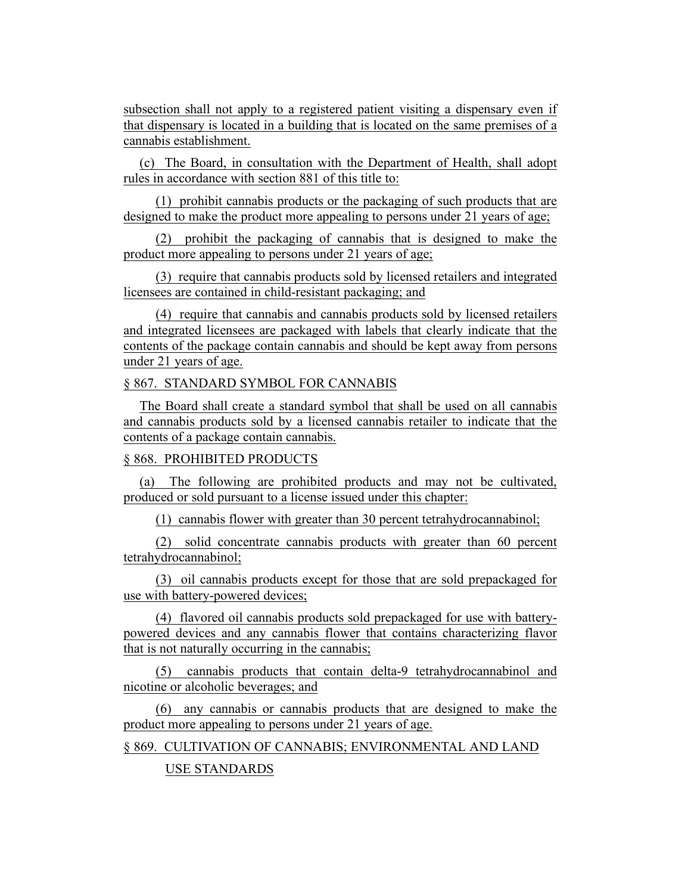subsection shall not apply to a registered patient visiting a dispensary even if that dispensary is located in a building that is located on the same premises of a cannabis establishment.

(c) The Board, in consultation with the Department of Health, shall adopt rules in accordance with section 881 of this title to:

(1) prohibit cannabis products or the packaging of such products that are designed to make the product more appealing to persons under 21 years of age;

(2) prohibit the packaging of cannabis that is designed to make the product more appealing to persons under 21 years of age;

(3) require that cannabis products sold by licensed retailers and integrated licensees are contained in child-resistant packaging; and

(4) require that cannabis and cannabis products sold by licensed retailers and integrated licensees are packaged with labels that clearly indicate that the contents of the package contain cannabis and should be kept away from persons under 21 years of age.

# § 867. STANDARD SYMBOL FOR CANNABIS

The Board shall create a standard symbol that shall be used on all cannabis and cannabis products sold by a licensed cannabis retailer to indicate that the contents of a package contain cannabis.

## § 868. PROHIBITED PRODUCTS

(a) The following are prohibited products and may not be cultivated, produced or sold pursuant to a license issued under this chapter:

(1) cannabis flower with greater than 30 percent tetrahydrocannabinol;

(2) solid concentrate cannabis products with greater than 60 percent tetrahydrocannabinol;

(3) oil cannabis products except for those that are sold prepackaged for use with battery-powered devices;

(4) flavored oil cannabis products sold prepackaged for use with batterypowered devices and any cannabis flower that contains characterizing flavor that is not naturally occurring in the cannabis;

(5) cannabis products that contain delta-9 tetrahydrocannabinol and nicotine or alcoholic beverages; and

(6) any cannabis or cannabis products that are designed to make the product more appealing to persons under 21 years of age.

§ 869. CULTIVATION OF CANNABIS; ENVIRONMENTAL AND LAND

USE STANDARDS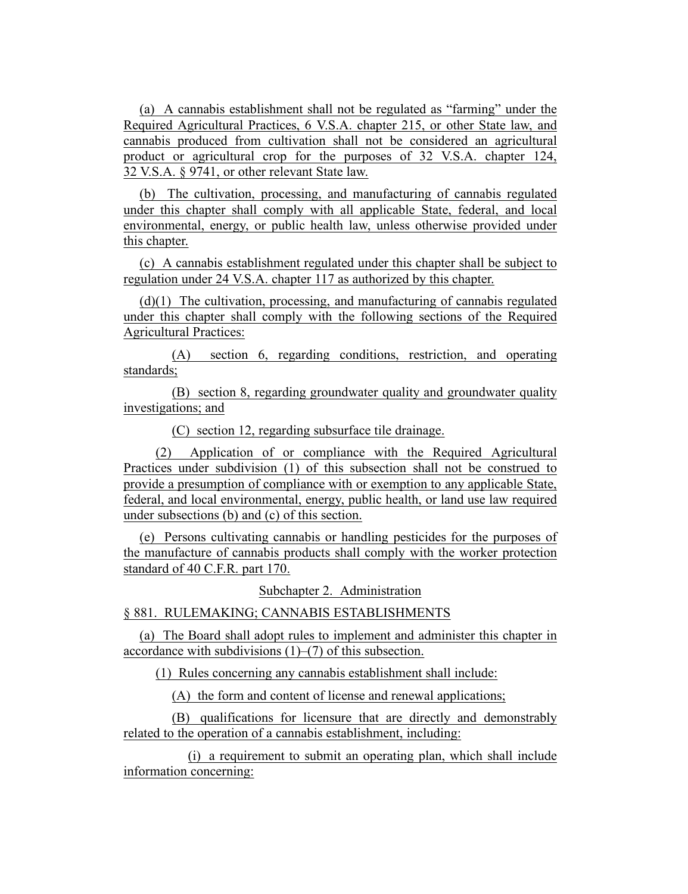(a) A cannabis establishment shall not be regulated as "farming" under the Required Agricultural Practices, 6 V.S.A. chapter 215, or other State law, and cannabis produced from cultivation shall not be considered an agricultural product or agricultural crop for the purposes of 32 V.S.A. chapter 124, 32 V.S.A. § 9741, or other relevant State law.

(b) The cultivation, processing, and manufacturing of cannabis regulated under this chapter shall comply with all applicable State, federal, and local environmental, energy, or public health law, unless otherwise provided under this chapter.

(c) A cannabis establishment regulated under this chapter shall be subject to regulation under 24 V.S.A. chapter 117 as authorized by this chapter.

(d)(1) The cultivation, processing, and manufacturing of cannabis regulated under this chapter shall comply with the following sections of the Required Agricultural Practices:

(A) section 6, regarding conditions, restriction, and operating standards;

(B) section 8, regarding groundwater quality and groundwater quality investigations; and

(C) section 12, regarding subsurface tile drainage.

(2) Application of or compliance with the Required Agricultural Practices under subdivision (1) of this subsection shall not be construed to provide a presumption of compliance with or exemption to any applicable State, federal, and local environmental, energy, public health, or land use law required under subsections (b) and (c) of this section.

(e) Persons cultivating cannabis or handling pesticides for the purposes of the manufacture of cannabis products shall comply with the worker protection standard of 40 C.F.R. part 170.

Subchapter 2. Administration

§ 881. RULEMAKING; CANNABIS ESTABLISHMENTS

(a) The Board shall adopt rules to implement and administer this chapter in accordance with subdivisions  $(1)$ – $(7)$  of this subsection.

(1) Rules concerning any cannabis establishment shall include:

(A) the form and content of license and renewal applications;

(B) qualifications for licensure that are directly and demonstrably related to the operation of a cannabis establishment, including:

(i) a requirement to submit an operating plan, which shall include information concerning: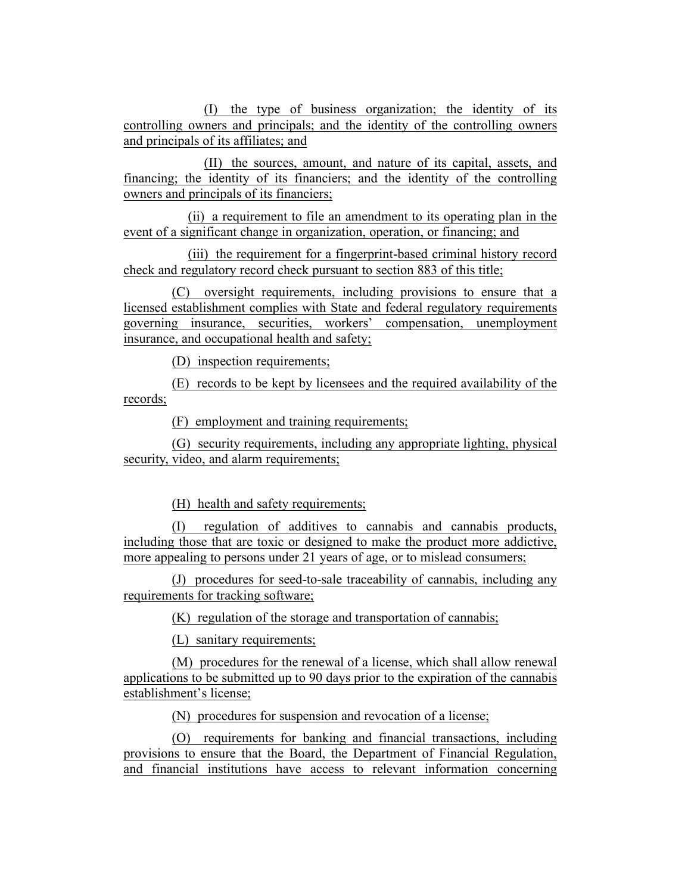(I) the type of business organization; the identity of its controlling owners and principals; and the identity of the controlling owners and principals of its affiliates; and

(II) the sources, amount, and nature of its capital, assets, and financing; the identity of its financiers; and the identity of the controlling owners and principals of its financiers;

(ii) a requirement to file an amendment to its operating plan in the event of a significant change in organization, operation, or financing; and

(iii) the requirement for a fingerprint-based criminal history record check and regulatory record check pursuant to section 883 of this title;

(C) oversight requirements, including provisions to ensure that a licensed establishment complies with State and federal regulatory requirements governing insurance, securities, workers' compensation, unemployment insurance, and occupational health and safety;

(D) inspection requirements;

(E) records to be kept by licensees and the required availability of the records;

(F) employment and training requirements;

(G) security requirements, including any appropriate lighting, physical security, video, and alarm requirements;

(H) health and safety requirements;

(I) regulation of additives to cannabis and cannabis products, including those that are toxic or designed to make the product more addictive, more appealing to persons under 21 years of age, or to mislead consumers;

(J) procedures for seed-to-sale traceability of cannabis, including any requirements for tracking software;

(K) regulation of the storage and transportation of cannabis;

(L) sanitary requirements;

(M) procedures for the renewal of a license, which shall allow renewal applications to be submitted up to 90 days prior to the expiration of the cannabis establishment's license;

(N) procedures for suspension and revocation of a license;

(O) requirements for banking and financial transactions, including provisions to ensure that the Board, the Department of Financial Regulation, and financial institutions have access to relevant information concerning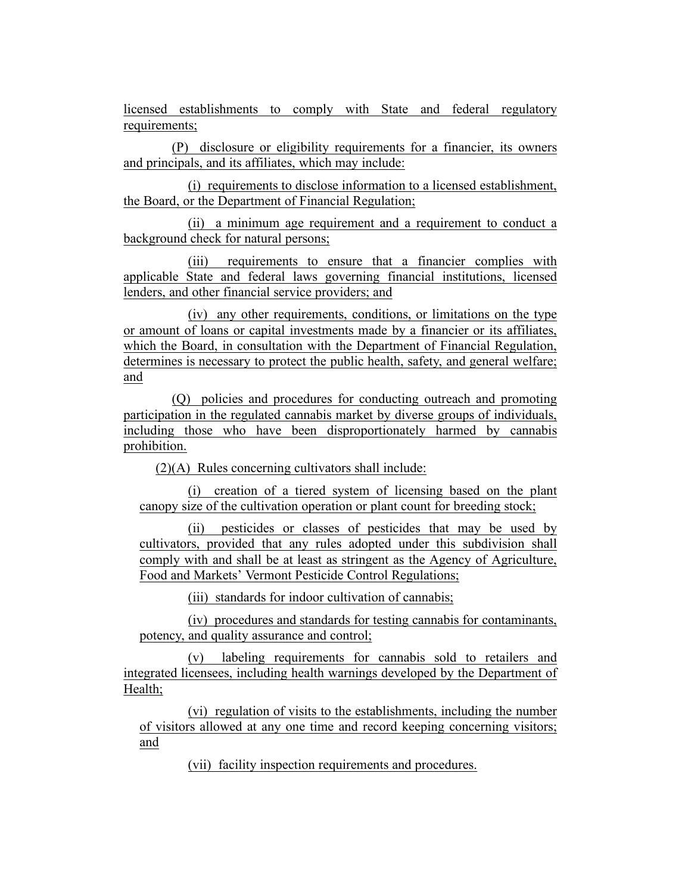licensed establishments to comply with State and federal regulatory requirements;

(P) disclosure or eligibility requirements for a financier, its owners and principals, and its affiliates, which may include:

(i) requirements to disclose information to a licensed establishment, the Board, or the Department of Financial Regulation;

(ii) a minimum age requirement and a requirement to conduct a background check for natural persons;

(iii) requirements to ensure that a financier complies with applicable State and federal laws governing financial institutions, licensed lenders, and other financial service providers; and

(iv) any other requirements, conditions, or limitations on the type or amount of loans or capital investments made by a financier or its affiliates, which the Board, in consultation with the Department of Financial Regulation, determines is necessary to protect the public health, safety, and general welfare; and

(Q) policies and procedures for conducting outreach and promoting participation in the regulated cannabis market by diverse groups of individuals, including those who have been disproportionately harmed by cannabis prohibition.

(2)(A) Rules concerning cultivators shall include:

(i) creation of a tiered system of licensing based on the plant canopy size of the cultivation operation or plant count for breeding stock;

(ii) pesticides or classes of pesticides that may be used by cultivators, provided that any rules adopted under this subdivision shall comply with and shall be at least as stringent as the Agency of Agriculture, Food and Markets' Vermont Pesticide Control Regulations;

(iii) standards for indoor cultivation of cannabis;

(iv) procedures and standards for testing cannabis for contaminants, potency, and quality assurance and control;

(v) labeling requirements for cannabis sold to retailers and integrated licensees, including health warnings developed by the Department of Health;

(vi) regulation of visits to the establishments, including the number of visitors allowed at any one time and record keeping concerning visitors; and

(vii) facility inspection requirements and procedures.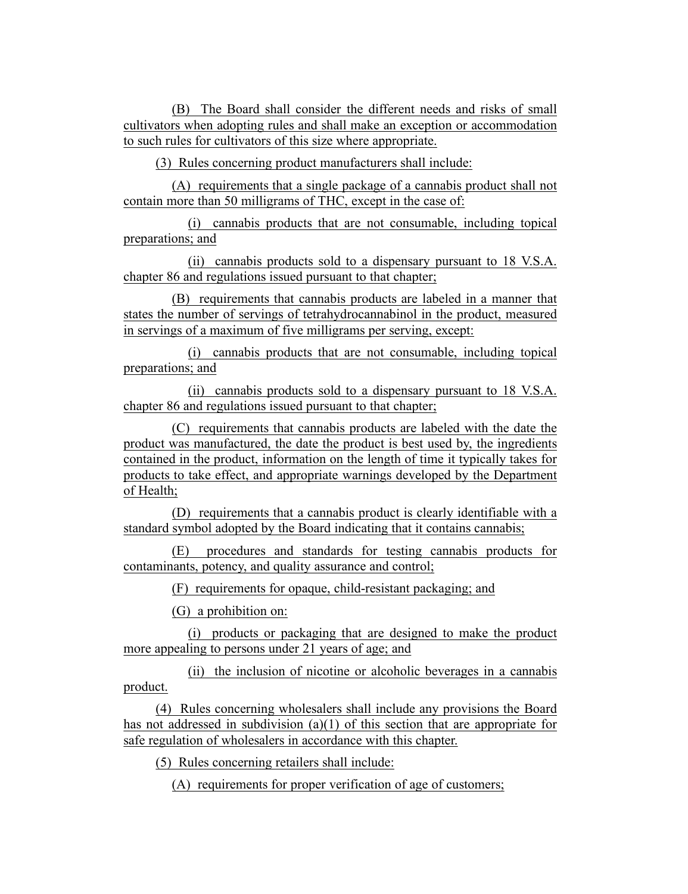(B) The Board shall consider the different needs and risks of small cultivators when adopting rules and shall make an exception or accommodation to such rules for cultivators of this size where appropriate.

(3) Rules concerning product manufacturers shall include:

(A) requirements that a single package of a cannabis product shall not contain more than 50 milligrams of THC, except in the case of:

(i) cannabis products that are not consumable, including topical preparations; and

(ii) cannabis products sold to a dispensary pursuant to 18 V.S.A. chapter 86 and regulations issued pursuant to that chapter;

(B) requirements that cannabis products are labeled in a manner that states the number of servings of tetrahydrocannabinol in the product, measured in servings of a maximum of five milligrams per serving, except:

(i) cannabis products that are not consumable, including topical preparations; and

(ii) cannabis products sold to a dispensary pursuant to 18 V.S.A. chapter 86 and regulations issued pursuant to that chapter;

(C) requirements that cannabis products are labeled with the date the product was manufactured, the date the product is best used by, the ingredients contained in the product, information on the length of time it typically takes for products to take effect, and appropriate warnings developed by the Department of Health;

(D) requirements that a cannabis product is clearly identifiable with a standard symbol adopted by the Board indicating that it contains cannabis;

(E) procedures and standards for testing cannabis products for contaminants, potency, and quality assurance and control;

(F) requirements for opaque, child-resistant packaging; and

(G) a prohibition on:

(i) products or packaging that are designed to make the product more appealing to persons under 21 years of age; and

(ii) the inclusion of nicotine or alcoholic beverages in a cannabis product.

(4) Rules concerning wholesalers shall include any provisions the Board has not addressed in subdivision (a)(1) of this section that are appropriate for safe regulation of wholesalers in accordance with this chapter.

(5) Rules concerning retailers shall include:

(A) requirements for proper verification of age of customers;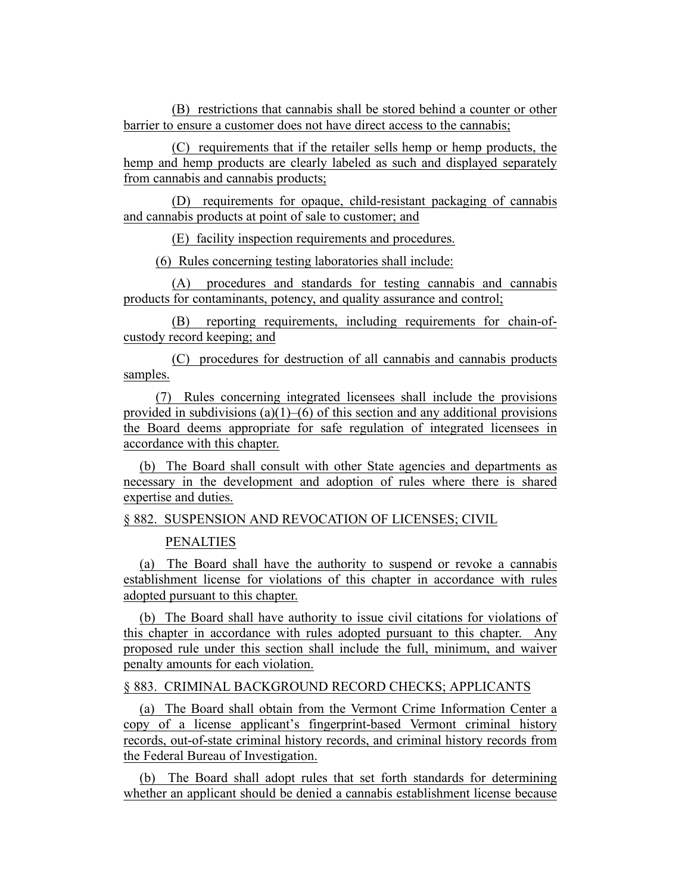(B) restrictions that cannabis shall be stored behind a counter or other barrier to ensure a customer does not have direct access to the cannabis;

(C) requirements that if the retailer sells hemp or hemp products, the hemp and hemp products are clearly labeled as such and displayed separately from cannabis and cannabis products;

(D) requirements for opaque, child-resistant packaging of cannabis and cannabis products at point of sale to customer; and

(E) facility inspection requirements and procedures.

(6) Rules concerning testing laboratories shall include:

(A) procedures and standards for testing cannabis and cannabis products for contaminants, potency, and quality assurance and control;

(B) reporting requirements, including requirements for chain-ofcustody record keeping; and

(C) procedures for destruction of all cannabis and cannabis products samples.

(7) Rules concerning integrated licensees shall include the provisions provided in subdivisions (a)(1)–(6) of this section and any additional provisions the Board deems appropriate for safe regulation of integrated licensees in accordance with this chapter.

(b) The Board shall consult with other State agencies and departments as necessary in the development and adoption of rules where there is shared expertise and duties.

§ 882. SUSPENSION AND REVOCATION OF LICENSES; CIVIL

PENALTIES

(a) The Board shall have the authority to suspend or revoke a cannabis establishment license for violations of this chapter in accordance with rules adopted pursuant to this chapter.

(b) The Board shall have authority to issue civil citations for violations of this chapter in accordance with rules adopted pursuant to this chapter. Any proposed rule under this section shall include the full, minimum, and waiver penalty amounts for each violation.

§ 883. CRIMINAL BACKGROUND RECORD CHECKS; APPLICANTS

(a) The Board shall obtain from the Vermont Crime Information Center a copy of a license applicant's fingerprint-based Vermont criminal history records, out-of-state criminal history records, and criminal history records from the Federal Bureau of Investigation.

(b) The Board shall adopt rules that set forth standards for determining whether an applicant should be denied a cannabis establishment license because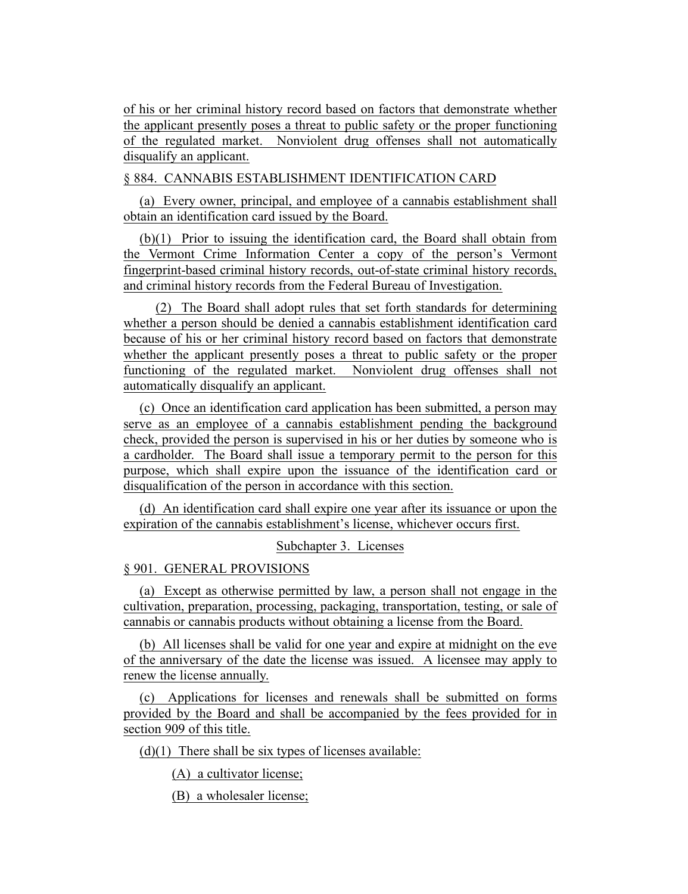of his or her criminal history record based on factors that demonstrate whether the applicant presently poses a threat to public safety or the proper functioning of the regulated market. Nonviolent drug offenses shall not automatically disqualify an applicant.

§ 884. CANNABIS ESTABLISHMENT IDENTIFICATION CARD

(a) Every owner, principal, and employee of a cannabis establishment shall obtain an identification card issued by the Board.

(b)(1) Prior to issuing the identification card, the Board shall obtain from the Vermont Crime Information Center a copy of the person's Vermont fingerprint-based criminal history records, out-of-state criminal history records, and criminal history records from the Federal Bureau of Investigation.

(2) The Board shall adopt rules that set forth standards for determining whether a person should be denied a cannabis establishment identification card because of his or her criminal history record based on factors that demonstrate whether the applicant presently poses a threat to public safety or the proper functioning of the regulated market. Nonviolent drug offenses shall not automatically disqualify an applicant.

(c) Once an identification card application has been submitted, a person may serve as an employee of a cannabis establishment pending the background check, provided the person is supervised in his or her duties by someone who is a cardholder. The Board shall issue a temporary permit to the person for this purpose, which shall expire upon the issuance of the identification card or disqualification of the person in accordance with this section.

(d) An identification card shall expire one year after its issuance or upon the expiration of the cannabis establishment's license, whichever occurs first.

Subchapter 3. Licenses

§ 901. GENERAL PROVISIONS

(a) Except as otherwise permitted by law, a person shall not engage in the cultivation, preparation, processing, packaging, transportation, testing, or sale of cannabis or cannabis products without obtaining a license from the Board.

(b) All licenses shall be valid for one year and expire at midnight on the eve of the anniversary of the date the license was issued. A licensee may apply to renew the license annually.

(c) Applications for licenses and renewals shall be submitted on forms provided by the Board and shall be accompanied by the fees provided for in section 909 of this title.

 $(d)(1)$  There shall be six types of licenses available:

(A) a cultivator license;

(B) a wholesaler license;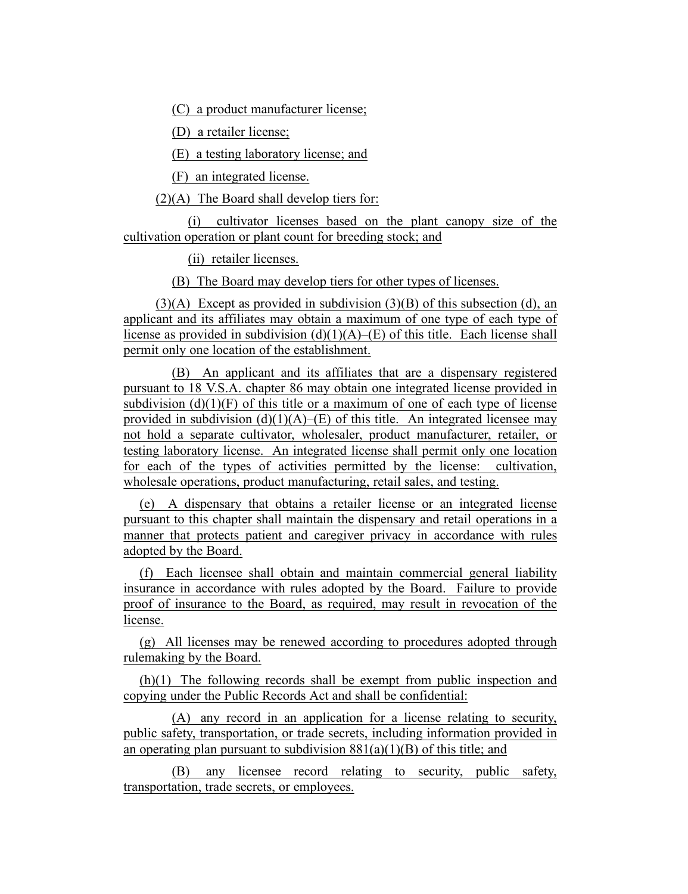(C) a product manufacturer license;

(D) a retailer license;

(E) a testing laboratory license; and

(F) an integrated license.

 $(2)(A)$  The Board shall develop tiers for:

(i) cultivator licenses based on the plant canopy size of the cultivation operation or plant count for breeding stock; and

(ii) retailer licenses.

(B) The Board may develop tiers for other types of licenses.

 $(3)(A)$  Except as provided in subdivision  $(3)(B)$  of this subsection (d), an applicant and its affiliates may obtain a maximum of one type of each type of license as provided in subdivision  $(d)(1)(A)$ – $(E)$  of this title. Each license shall permit only one location of the establishment.

(B) An applicant and its affiliates that are a dispensary registered pursuant to 18 V.S.A. chapter 86 may obtain one integrated license provided in subdivision  $(d)(1)(F)$  of this title or a maximum of one of each type of license provided in subdivision  $(d)(1)(A)$ –(E) of this title. An integrated licensee may not hold a separate cultivator, wholesaler, product manufacturer, retailer, or testing laboratory license. An integrated license shall permit only one location for each of the types of activities permitted by the license: cultivation, wholesale operations, product manufacturing, retail sales, and testing.

(e) A dispensary that obtains a retailer license or an integrated license pursuant to this chapter shall maintain the dispensary and retail operations in a manner that protects patient and caregiver privacy in accordance with rules adopted by the Board.

(f) Each licensee shall obtain and maintain commercial general liability insurance in accordance with rules adopted by the Board. Failure to provide proof of insurance to the Board, as required, may result in revocation of the license.

(g) All licenses may be renewed according to procedures adopted through rulemaking by the Board.

(h)(1) The following records shall be exempt from public inspection and copying under the Public Records Act and shall be confidential:

(A) any record in an application for a license relating to security, public safety, transportation, or trade secrets, including information provided in an operating plan pursuant to subdivision  $881(a)(1)(B)$  of this title; and

(B) any licensee record relating to security, public safety, transportation, trade secrets, or employees.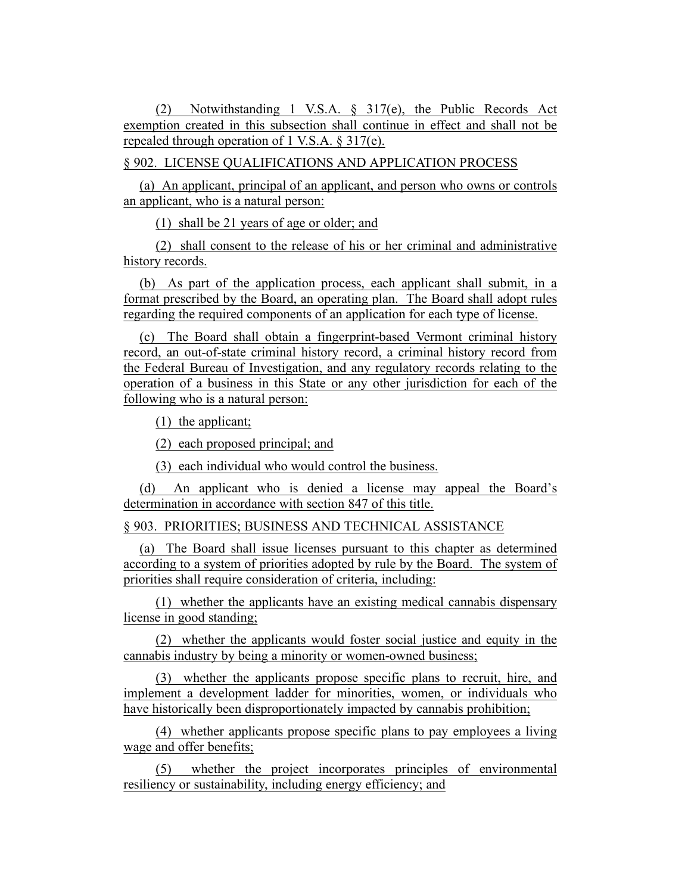(2) Notwithstanding 1 V.S.A. § 317(e), the Public Records Act exemption created in this subsection shall continue in effect and shall not be repealed through operation of 1 V.S.A. § 317(e).

§ 902. LICENSE QUALIFICATIONS AND APPLICATION PROCESS

(a) An applicant, principal of an applicant, and person who owns or controls an applicant, who is a natural person:

(1) shall be 21 years of age or older; and

(2) shall consent to the release of his or her criminal and administrative history records.

(b) As part of the application process, each applicant shall submit, in a format prescribed by the Board, an operating plan. The Board shall adopt rules regarding the required components of an application for each type of license.

(c) The Board shall obtain a fingerprint-based Vermont criminal history record, an out-of-state criminal history record, a criminal history record from the Federal Bureau of Investigation, and any regulatory records relating to the operation of a business in this State or any other jurisdiction for each of the following who is a natural person:

(1) the applicant;

(2) each proposed principal; and

(3) each individual who would control the business.

(d) An applicant who is denied a license may appeal the Board's determination in accordance with section 847 of this title.

§ 903. PRIORITIES; BUSINESS AND TECHNICAL ASSISTANCE

(a) The Board shall issue licenses pursuant to this chapter as determined according to a system of priorities adopted by rule by the Board. The system of priorities shall require consideration of criteria, including:

(1) whether the applicants have an existing medical cannabis dispensary license in good standing;

(2) whether the applicants would foster social justice and equity in the cannabis industry by being a minority or women-owned business;

(3) whether the applicants propose specific plans to recruit, hire, and implement a development ladder for minorities, women, or individuals who have historically been disproportionately impacted by cannabis prohibition;

(4) whether applicants propose specific plans to pay employees a living wage and offer benefits;

(5) whether the project incorporates principles of environmental resiliency or sustainability, including energy efficiency; and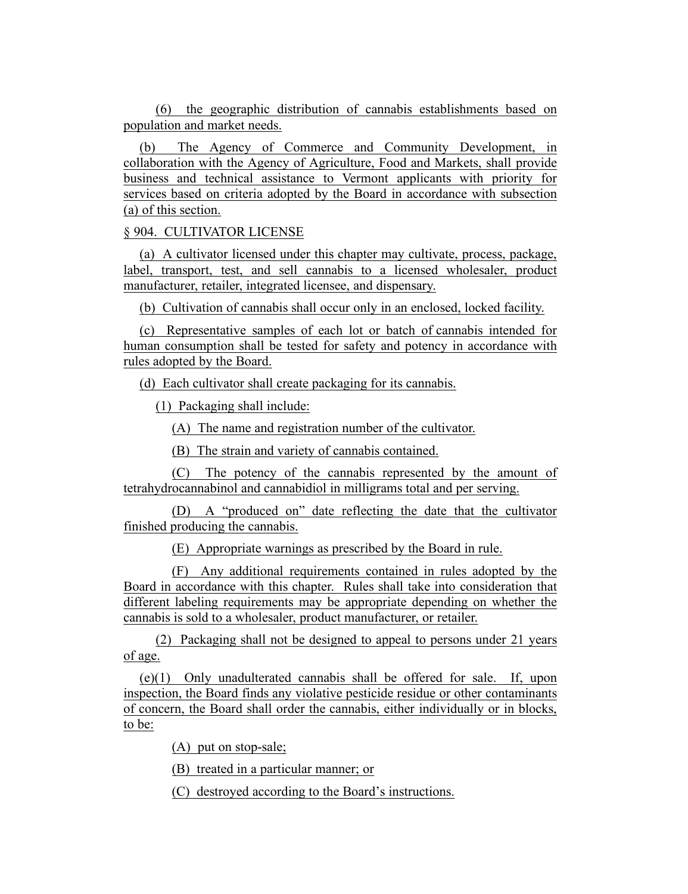(6) the geographic distribution of cannabis establishments based on population and market needs.

(b) The Agency of Commerce and Community Development, in collaboration with the Agency of Agriculture, Food and Markets, shall provide business and technical assistance to Vermont applicants with priority for services based on criteria adopted by the Board in accordance with subsection (a) of this section.

## § 904. CULTIVATOR LICENSE

(a) A cultivator licensed under this chapter may cultivate, process, package, label, transport, test, and sell cannabis to a licensed wholesaler, product manufacturer, retailer, integrated licensee, and dispensary.

(b) Cultivation of cannabis shall occur only in an enclosed, locked facility.

(c) Representative samples of each lot or batch of cannabis intended for human consumption shall be tested for safety and potency in accordance with rules adopted by the Board.

(d) Each cultivator shall create packaging for its cannabis.

(1) Packaging shall include:

(A) The name and registration number of the cultivator.

(B) The strain and variety of cannabis contained.

(C) The potency of the cannabis represented by the amount of tetrahydrocannabinol and cannabidiol in milligrams total and per serving.

(D) A "produced on" date reflecting the date that the cultivator finished producing the cannabis.

(E) Appropriate warnings as prescribed by the Board in rule.

(F) Any additional requirements contained in rules adopted by the Board in accordance with this chapter. Rules shall take into consideration that different labeling requirements may be appropriate depending on whether the cannabis is sold to a wholesaler, product manufacturer, or retailer.

(2) Packaging shall not be designed to appeal to persons under 21 years of age.

(e)(1) Only unadulterated cannabis shall be offered for sale. If, upon inspection, the Board finds any violative pesticide residue or other contaminants of concern, the Board shall order the cannabis, either individually or in blocks, to be:

(A) put on stop-sale;

(B) treated in a particular manner; or

(C) destroyed according to the Board's instructions.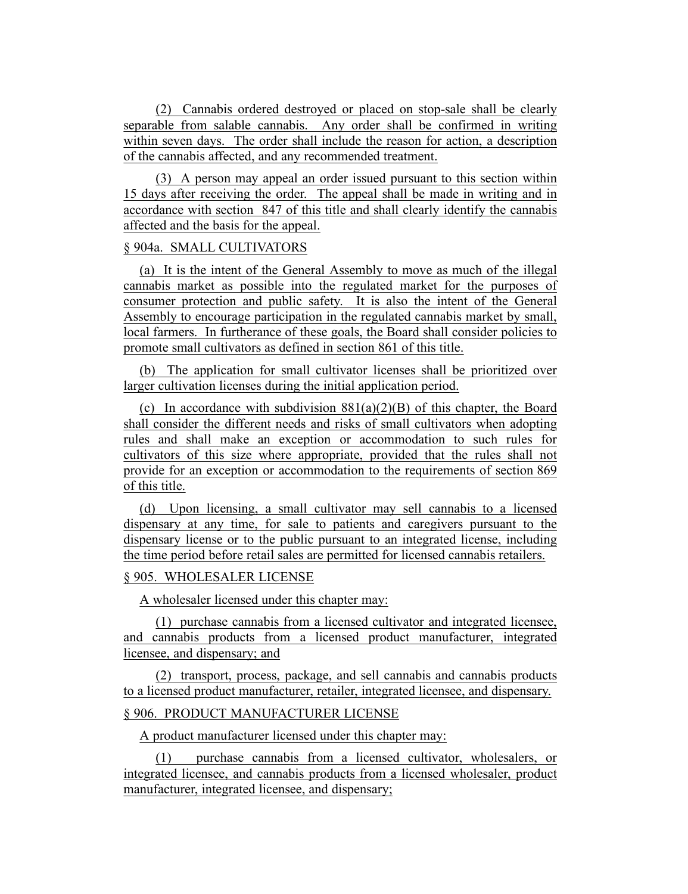(2) Cannabis ordered destroyed or placed on stop-sale shall be clearly separable from salable cannabis. Any order shall be confirmed in writing within seven days. The order shall include the reason for action, a description of the cannabis affected, and any recommended treatment.

(3) A person may appeal an order issued pursuant to this section within 15 days after receiving the order. The appeal shall be made in writing and in accordance with section 847 of this title and shall clearly identify the cannabis affected and the basis for the appeal.

## § 904a. SMALL CULTIVATORS

(a) It is the intent of the General Assembly to move as much of the illegal cannabis market as possible into the regulated market for the purposes of consumer protection and public safety. It is also the intent of the General Assembly to encourage participation in the regulated cannabis market by small, local farmers. In furtherance of these goals, the Board shall consider policies to promote small cultivators as defined in section 861 of this title.

(b) The application for small cultivator licenses shall be prioritized over larger cultivation licenses during the initial application period.

(c) In accordance with subdivision  $881(a)(2)(B)$  of this chapter, the Board shall consider the different needs and risks of small cultivators when adopting rules and shall make an exception or accommodation to such rules for cultivators of this size where appropriate, provided that the rules shall not provide for an exception or accommodation to the requirements of section 869 of this title.

(d) Upon licensing, a small cultivator may sell cannabis to a licensed dispensary at any time, for sale to patients and caregivers pursuant to the dispensary license or to the public pursuant to an integrated license, including the time period before retail sales are permitted for licensed cannabis retailers.

## § 905. WHOLESALER LICENSE

A wholesaler licensed under this chapter may:

(1) purchase cannabis from a licensed cultivator and integrated licensee, and cannabis products from a licensed product manufacturer, integrated licensee, and dispensary; and

(2) transport, process, package, and sell cannabis and cannabis products to a licensed product manufacturer, retailer, integrated licensee, and dispensary.

# § 906. PRODUCT MANUFACTURER LICENSE

A product manufacturer licensed under this chapter may:

(1) purchase cannabis from a licensed cultivator, wholesalers, or integrated licensee, and cannabis products from a licensed wholesaler, product manufacturer, integrated licensee, and dispensary;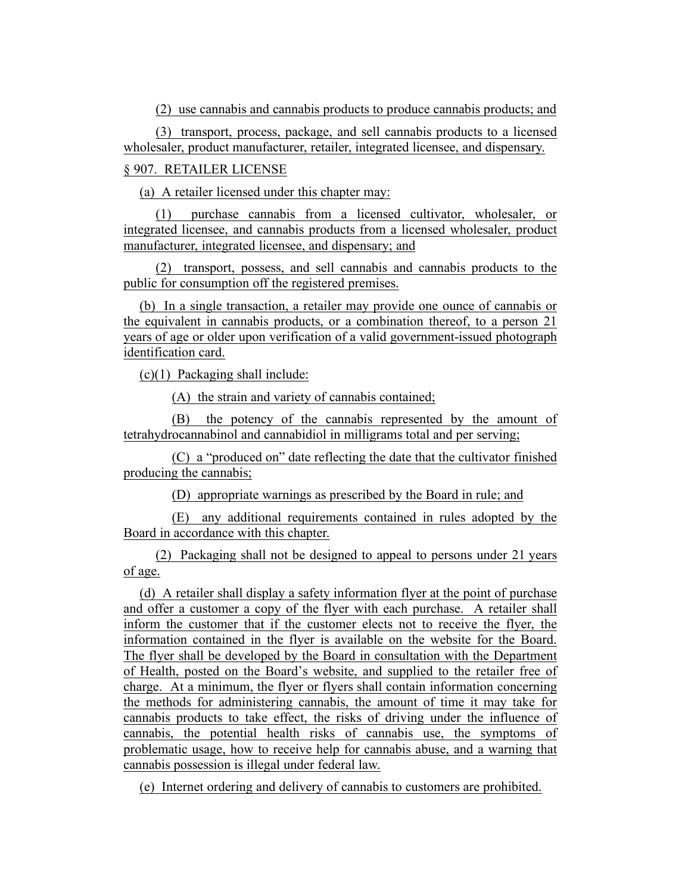(2) use cannabis and cannabis products to produce cannabis products; and

(3) transport, process, package, and sell cannabis products to a licensed wholesaler, product manufacturer, retailer, integrated licensee, and dispensary.

§ 907. RETAILER LICENSE

(a) A retailer licensed under this chapter may:

(1) purchase cannabis from a licensed cultivator, wholesaler, or integrated licensee, and cannabis products from a licensed wholesaler, product manufacturer, integrated licensee, and dispensary; and

(2) transport, possess, and sell cannabis and cannabis products to the public for consumption off the registered premises.

(b) In a single transaction, a retailer may provide one ounce of cannabis or the equivalent in cannabis products, or a combination thereof, to a person 21 years of age or older upon verification of a valid government-issued photograph identification card.

(c)(1) Packaging shall include:

(A) the strain and variety of cannabis contained;

(B) the potency of the cannabis represented by the amount of tetrahydrocannabinol and cannabidiol in milligrams total and per serving;

(C) a "produced on" date reflecting the date that the cultivator finished producing the cannabis;

(D) appropriate warnings as prescribed by the Board in rule; and

(E) any additional requirements contained in rules adopted by the Board in accordance with this chapter.

(2) Packaging shall not be designed to appeal to persons under 21 years of age.

(d) A retailer shall display a safety information flyer at the point of purchase and offer a customer a copy of the flyer with each purchase. A retailer shall inform the customer that if the customer elects not to receive the flyer, the information contained in the flyer is available on the website for the Board. The flyer shall be developed by the Board in consultation with the Department of Health, posted on the Board's website, and supplied to the retailer free of charge. At a minimum, the flyer or flyers shall contain information concerning the methods for administering cannabis, the amount of time it may take for cannabis products to take effect, the risks of driving under the influence of cannabis, the potential health risks of cannabis use, the symptoms of problematic usage, how to receive help for cannabis abuse, and a warning that cannabis possession is illegal under federal law.

(e) Internet ordering and delivery of cannabis to customers are prohibited.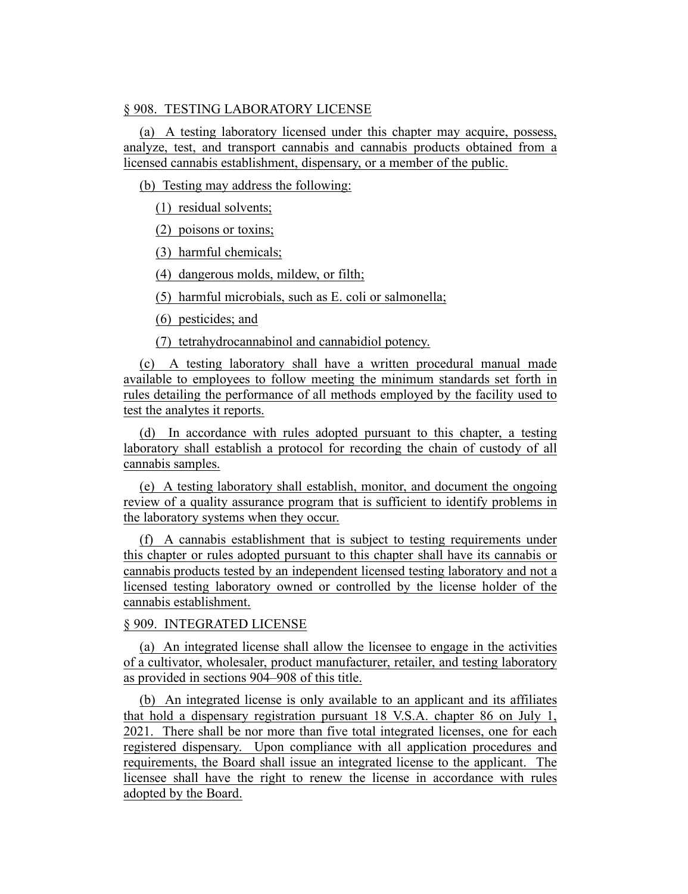## § 908. TESTING LABORATORY LICENSE

(a) A testing laboratory licensed under this chapter may acquire, possess, analyze, test, and transport cannabis and cannabis products obtained from a licensed cannabis establishment, dispensary, or a member of the public.

(b) Testing may address the following:

(1) residual solvents;

(2) poisons or toxins;

(3) harmful chemicals;

(4) dangerous molds, mildew, or filth;

(5) harmful microbials, such as E. coli or salmonella;

(6) pesticides; and

(7) tetrahydrocannabinol and cannabidiol potency.

(c) A testing laboratory shall have a written procedural manual made available to employees to follow meeting the minimum standards set forth in rules detailing the performance of all methods employed by the facility used to test the analytes it reports.

(d) In accordance with rules adopted pursuant to this chapter, a testing laboratory shall establish a protocol for recording the chain of custody of all cannabis samples.

(e) A testing laboratory shall establish, monitor, and document the ongoing review of a quality assurance program that is sufficient to identify problems in the laboratory systems when they occur.

(f) A cannabis establishment that is subject to testing requirements under this chapter or rules adopted pursuant to this chapter shall have its cannabis or cannabis products tested by an independent licensed testing laboratory and not a licensed testing laboratory owned or controlled by the license holder of the cannabis establishment.

#### § 909. INTEGRATED LICENSE

(a) An integrated license shall allow the licensee to engage in the activities of a cultivator, wholesaler, product manufacturer, retailer, and testing laboratory as provided in sections 904–908 of this title.

(b) An integrated license is only available to an applicant and its affiliates that hold a dispensary registration pursuant 18 V.S.A. chapter 86 on July 1, 2021. There shall be nor more than five total integrated licenses, one for each registered dispensary. Upon compliance with all application procedures and requirements, the Board shall issue an integrated license to the applicant. The licensee shall have the right to renew the license in accordance with rules adopted by the Board.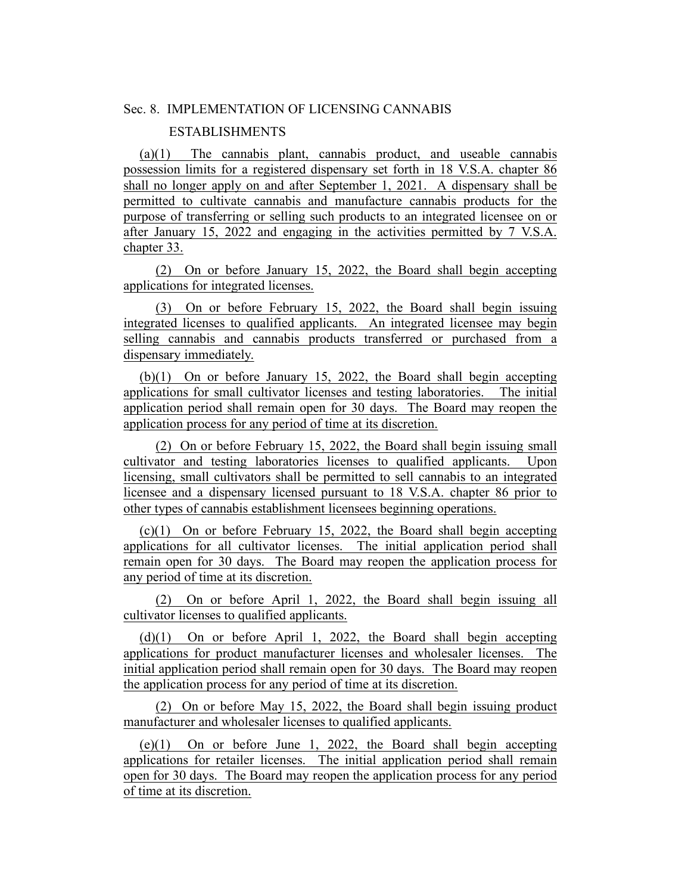## Sec. 8. IMPLEMENTATION OF LICENSING CANNABIS

# ESTABLISHMENTS

(a)(1) The cannabis plant, cannabis product, and useable cannabis possession limits for a registered dispensary set forth in 18 V.S.A. chapter 86 shall no longer apply on and after September 1, 2021. A dispensary shall be permitted to cultivate cannabis and manufacture cannabis products for the purpose of transferring or selling such products to an integrated licensee on or after January 15, 2022 and engaging in the activities permitted by 7 V.S.A. chapter 33.

(2) On or before January 15, 2022, the Board shall begin accepting applications for integrated licenses.

(3) On or before February 15, 2022, the Board shall begin issuing integrated licenses to qualified applicants. An integrated licensee may begin selling cannabis and cannabis products transferred or purchased from a dispensary immediately.

(b)(1) On or before January 15, 2022, the Board shall begin accepting applications for small cultivator licenses and testing laboratories. The initial application period shall remain open for 30 days. The Board may reopen the application process for any period of time at its discretion.

(2) On or before February 15, 2022, the Board shall begin issuing small cultivator and testing laboratories licenses to qualified applicants. Upon licensing, small cultivators shall be permitted to sell cannabis to an integrated licensee and a dispensary licensed pursuant to 18 V.S.A. chapter 86 prior to other types of cannabis establishment licensees beginning operations.

(c)(1) On or before February 15, 2022, the Board shall begin accepting applications for all cultivator licenses. The initial application period shall remain open for 30 days. The Board may reopen the application process for any period of time at its discretion.

(2) On or before April 1, 2022, the Board shall begin issuing all cultivator licenses to qualified applicants.

(d)(1) On or before April 1, 2022, the Board shall begin accepting applications for product manufacturer licenses and wholesaler licenses. The initial application period shall remain open for 30 days. The Board may reopen the application process for any period of time at its discretion.

(2) On or before May 15, 2022, the Board shall begin issuing product manufacturer and wholesaler licenses to qualified applicants.

(e)(1) On or before June 1, 2022, the Board shall begin accepting applications for retailer licenses. The initial application period shall remain open for 30 days. The Board may reopen the application process for any period of time at its discretion.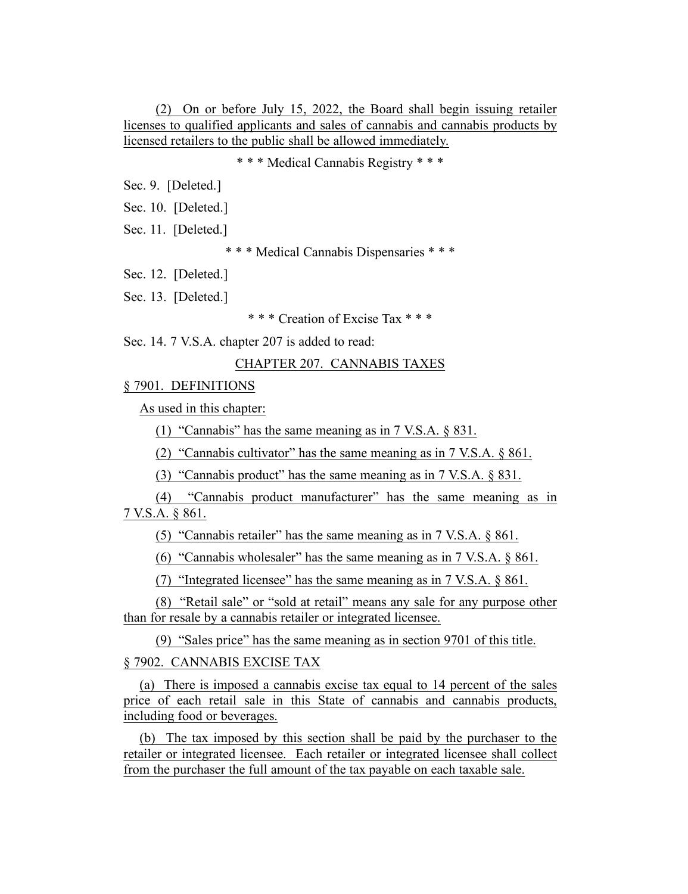(2) On or before July 15, 2022, the Board shall begin issuing retailer licenses to qualified applicants and sales of cannabis and cannabis products by licensed retailers to the public shall be allowed immediately.

\* \* \* Medical Cannabis Registry \* \* \*

Sec. 9. [Deleted.]

Sec. 10. [Deleted.]

Sec. 11. [Deleted.]

\* \* \* Medical Cannabis Dispensaries \* \* \*

Sec. 12. [Deleted.]

Sec. 13. [Deleted.]

\* \* \* Creation of Excise Tax \* \* \*

Sec. 14. 7 V.S.A. chapter 207 is added to read:

#### CHAPTER 207. CANNABIS TAXES

§ 7901. DEFINITIONS

As used in this chapter:

(1) "Cannabis" has the same meaning as in 7 V.S.A. § 831.

(2) "Cannabis cultivator" has the same meaning as in 7 V.S.A. § 861.

(3) "Cannabis product" has the same meaning as in 7 V.S.A. § 831.

(4) "Cannabis product manufacturer" has the same meaning as in 7 V.S.A. § 861.

(5) "Cannabis retailer" has the same meaning as in 7 V.S.A. § 861.

(6) "Cannabis wholesaler" has the same meaning as in 7 V.S.A. § 861.

(7) "Integrated licensee" has the same meaning as in 7 V.S.A. § 861.

(8) "Retail sale" or "sold at retail" means any sale for any purpose other than for resale by a cannabis retailer or integrated licensee.

(9) "Sales price" has the same meaning as in section 9701 of this title.

§ 7902. CANNABIS EXCISE TAX

(a) There is imposed a cannabis excise tax equal to 14 percent of the sales price of each retail sale in this State of cannabis and cannabis products, including food or beverages.

(b) The tax imposed by this section shall be paid by the purchaser to the retailer or integrated licensee. Each retailer or integrated licensee shall collect from the purchaser the full amount of the tax payable on each taxable sale.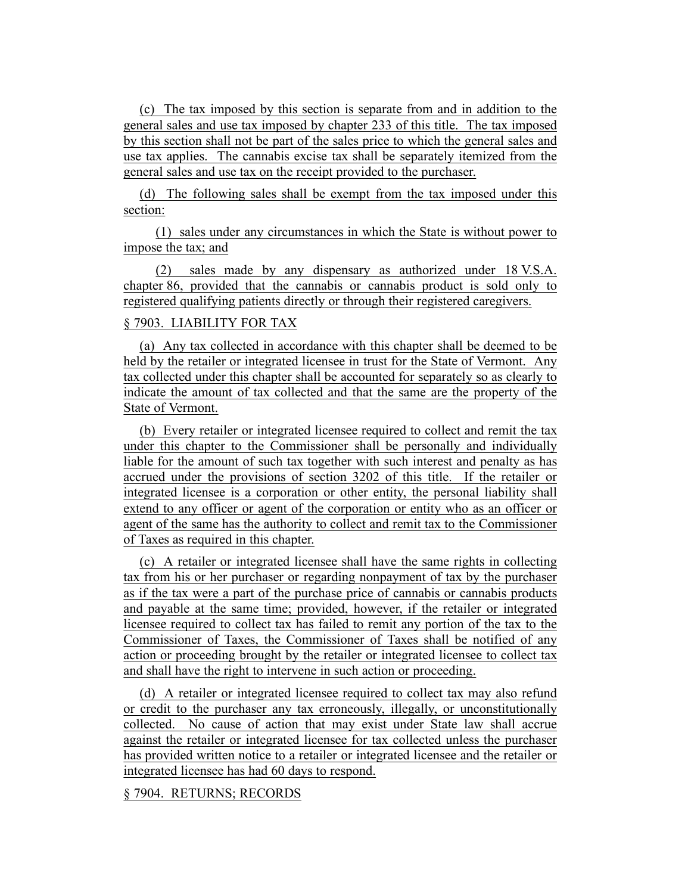(c) The tax imposed by this section is separate from and in addition to the general sales and use tax imposed by chapter 233 of this title. The tax imposed by this section shall not be part of the sales price to which the general sales and use tax applies. The cannabis excise tax shall be separately itemized from the general sales and use tax on the receipt provided to the purchaser.

(d) The following sales shall be exempt from the tax imposed under this section:

(1) sales under any circumstances in which the State is without power to impose the tax; and

(2) sales made by any dispensary as authorized under 18 V.S.A. chapter 86, provided that the cannabis or cannabis product is sold only to registered qualifying patients directly or through their registered caregivers.

## § 7903. LIABILITY FOR TAX

(a) Any tax collected in accordance with this chapter shall be deemed to be held by the retailer or integrated licensee in trust for the State of Vermont. Any tax collected under this chapter shall be accounted for separately so as clearly to indicate the amount of tax collected and that the same are the property of the State of Vermont.

(b) Every retailer or integrated licensee required to collect and remit the tax under this chapter to the Commissioner shall be personally and individually liable for the amount of such tax together with such interest and penalty as has accrued under the provisions of section 3202 of this title. If the retailer or integrated licensee is a corporation or other entity, the personal liability shall extend to any officer or agent of the corporation or entity who as an officer or agent of the same has the authority to collect and remit tax to the Commissioner of Taxes as required in this chapter.

(c) A retailer or integrated licensee shall have the same rights in collecting tax from his or her purchaser or regarding nonpayment of tax by the purchaser as if the tax were a part of the purchase price of cannabis or cannabis products and payable at the same time; provided, however, if the retailer or integrated licensee required to collect tax has failed to remit any portion of the tax to the Commissioner of Taxes, the Commissioner of Taxes shall be notified of any action or proceeding brought by the retailer or integrated licensee to collect tax and shall have the right to intervene in such action or proceeding.

(d) A retailer or integrated licensee required to collect tax may also refund or credit to the purchaser any tax erroneously, illegally, or unconstitutionally collected. No cause of action that may exist under State law shall accrue against the retailer or integrated licensee for tax collected unless the purchaser has provided written notice to a retailer or integrated licensee and the retailer or integrated licensee has had 60 days to respond.

#### § 7904. RETURNS; RECORDS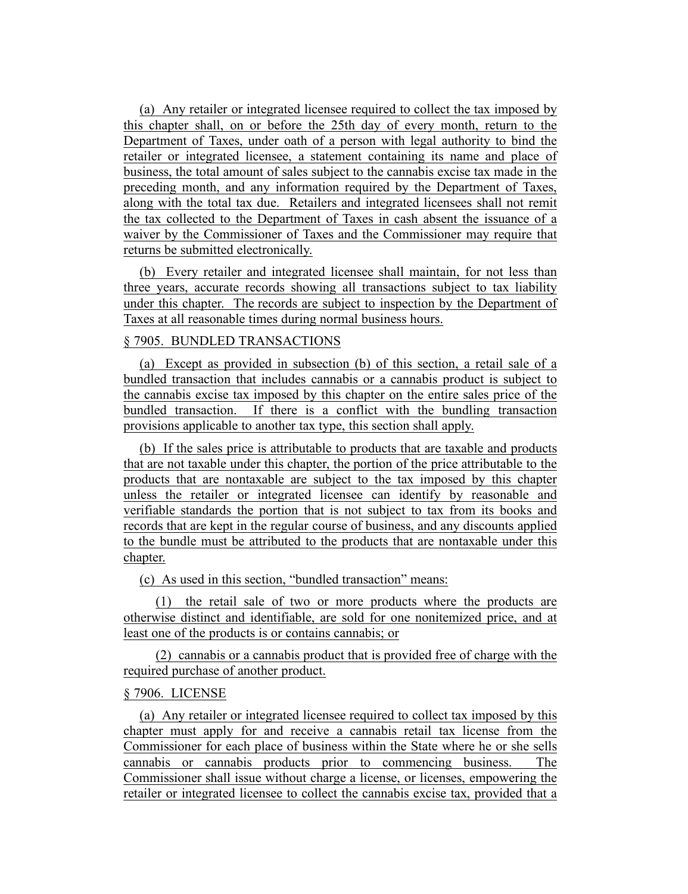(a) Any retailer or integrated licensee required to collect the tax imposed by this chapter shall, on or before the 25th day of every month, return to the Department of Taxes, under oath of a person with legal authority to bind the retailer or integrated licensee, a statement containing its name and place of business, the total amount of sales subject to the cannabis excise tax made in the preceding month, and any information required by the Department of Taxes, along with the total tax due. Retailers and integrated licensees shall not remit the tax collected to the Department of Taxes in cash absent the issuance of a waiver by the Commissioner of Taxes and the Commissioner may require that returns be submitted electronically.

(b) Every retailer and integrated licensee shall maintain, for not less than three years, accurate records showing all transactions subject to tax liability under this chapter. The records are subject to inspection by the Department of Taxes at all reasonable times during normal business hours.

# § 7905. BUNDLED TRANSACTIONS

(a) Except as provided in subsection (b) of this section, a retail sale of a bundled transaction that includes cannabis or a cannabis product is subject to the cannabis excise tax imposed by this chapter on the entire sales price of the bundled transaction. If there is a conflict with the bundling transaction provisions applicable to another tax type, this section shall apply.

(b) If the sales price is attributable to products that are taxable and products that are not taxable under this chapter, the portion of the price attributable to the products that are nontaxable are subject to the tax imposed by this chapter unless the retailer or integrated licensee can identify by reasonable and verifiable standards the portion that is not subject to tax from its books and records that are kept in the regular course of business, and any discounts applied to the bundle must be attributed to the products that are nontaxable under this chapter.

(c) As used in this section, "bundled transaction" means:

(1) the retail sale of two or more products where the products are otherwise distinct and identifiable, are sold for one nonitemized price, and at least one of the products is or contains cannabis; or

(2) cannabis or a cannabis product that is provided free of charge with the required purchase of another product.

#### § 7906. LICENSE

(a) Any retailer or integrated licensee required to collect tax imposed by this chapter must apply for and receive a cannabis retail tax license from the Commissioner for each place of business within the State where he or she sells cannabis or cannabis products prior to commencing business. The Commissioner shall issue without charge a license, or licenses, empowering the retailer or integrated licensee to collect the cannabis excise tax, provided that a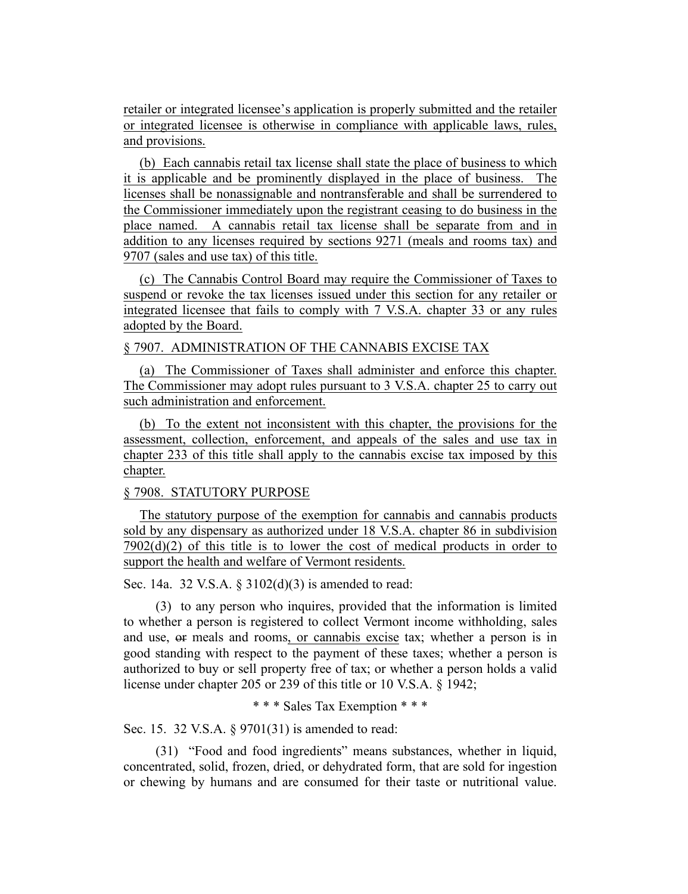retailer or integrated licensee's application is properly submitted and the retailer or integrated licensee is otherwise in compliance with applicable laws, rules, and provisions.

(b) Each cannabis retail tax license shall state the place of business to which it is applicable and be prominently displayed in the place of business. The licenses shall be nonassignable and nontransferable and shall be surrendered to the Commissioner immediately upon the registrant ceasing to do business in the place named. A cannabis retail tax license shall be separate from and in addition to any licenses required by sections 9271 (meals and rooms tax) and 9707 (sales and use tax) of this title.

(c) The Cannabis Control Board may require the Commissioner of Taxes to suspend or revoke the tax licenses issued under this section for any retailer or integrated licensee that fails to comply with 7 V.S.A. chapter 33 or any rules adopted by the Board.

## § 7907. ADMINISTRATION OF THE CANNABIS EXCISE TAX

(a) The Commissioner of Taxes shall administer and enforce this chapter. The Commissioner may adopt rules pursuant to 3 V.S.A. chapter 25 to carry out such administration and enforcement.

(b) To the extent not inconsistent with this chapter, the provisions for the assessment, collection, enforcement, and appeals of the sales and use tax in chapter 233 of this title shall apply to the cannabis excise tax imposed by this chapter.

#### § 7908. STATUTORY PURPOSE

The statutory purpose of the exemption for cannabis and cannabis products sold by any dispensary as authorized under 18 V.S.A. chapter 86 in subdivision  $7902(d)(2)$  of this title is to lower the cost of medical products in order to support the health and welfare of Vermont residents.

Sec. 14a. 32 V.S.A. § 3102(d)(3) is amended to read:

(3) to any person who inquires, provided that the information is limited to whether a person is registered to collect Vermont income withholding, sales and use, or meals and rooms, or cannabis excise tax; whether a person is in good standing with respect to the payment of these taxes; whether a person is authorized to buy or sell property free of tax; or whether a person holds a valid license under chapter 205 or 239 of this title or 10 V.S.A. § 1942;

# \* \* \* Sales Tax Exemption \* \* \*

Sec. 15. 32 V.S.A. § 9701(31) is amended to read:

(31) "Food and food ingredients" means substances, whether in liquid, concentrated, solid, frozen, dried, or dehydrated form, that are sold for ingestion or chewing by humans and are consumed for their taste or nutritional value.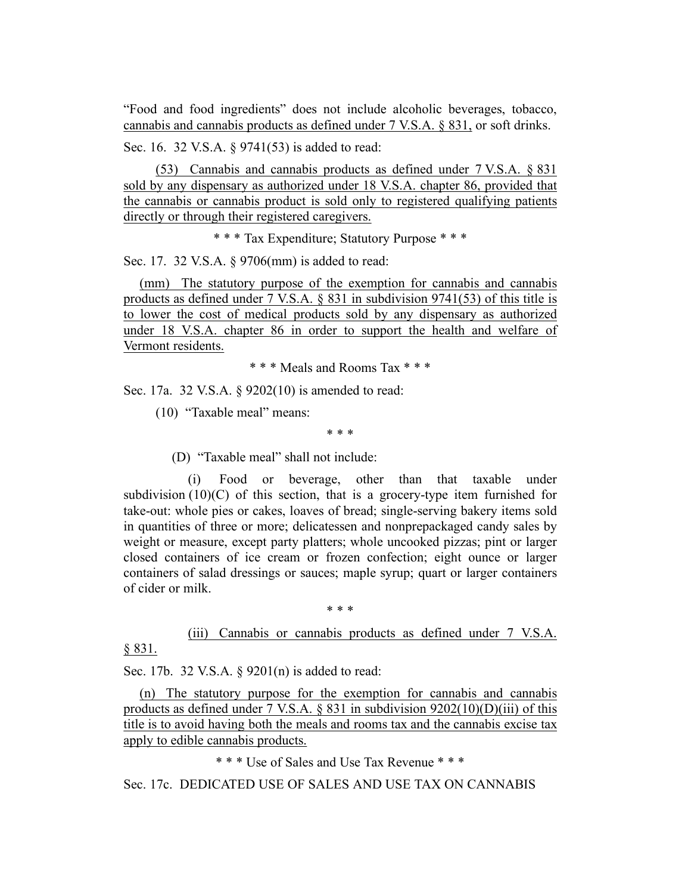"Food and food ingredients" does not include alcoholic beverages, tobacco, cannabis and cannabis products as defined under 7 V.S.A. § 831, or soft drinks.

Sec. 16. 32 V.S.A. § 9741(53) is added to read:

(53) Cannabis and cannabis products as defined under 7 V.S.A. § 831 sold by any dispensary as authorized under 18 V.S.A. chapter 86, provided that the cannabis or cannabis product is sold only to registered qualifying patients directly or through their registered caregivers.

\* \* \* Tax Expenditure; Statutory Purpose \* \* \*

Sec. 17. 32 V.S.A. § 9706(mm) is added to read:

(mm) The statutory purpose of the exemption for cannabis and cannabis products as defined under 7 V.S.A. § 831 in subdivision 9741(53) of this title is to lower the cost of medical products sold by any dispensary as authorized under 18 V.S.A. chapter 86 in order to support the health and welfare of Vermont residents.

\* \* \* Meals and Rooms Tax \* \* \*

Sec. 17a. 32 V.S.A. § 9202(10) is amended to read:

(10) "Taxable meal" means:

\* \* \*

(D) "Taxable meal" shall not include:

(i) Food or beverage, other than that taxable under subdivision  $(10)(C)$  of this section, that is a grocery-type item furnished for take-out: whole pies or cakes, loaves of bread; single-serving bakery items sold in quantities of three or more; delicatessen and nonprepackaged candy sales by weight or measure, except party platters; whole uncooked pizzas; pint or larger closed containers of ice cream or frozen confection; eight ounce or larger containers of salad dressings or sauces; maple syrup; quart or larger containers of cider or milk.

\* \* \*

(iii) Cannabis or cannabis products as defined under 7 V.S.A. § 831.

Sec. 17b. 32 V.S.A. § 9201(n) is added to read:

(n) The statutory purpose for the exemption for cannabis and cannabis products as defined under 7 V.S.A.  $\S$  831 in subdivision 9202(10)(D)(iii) of this title is to avoid having both the meals and rooms tax and the cannabis excise tax apply to edible cannabis products.

\* \* \* Use of Sales and Use Tax Revenue \* \* \*

Sec. 17c. DEDICATED USE OF SALES AND USE TAX ON CANNABIS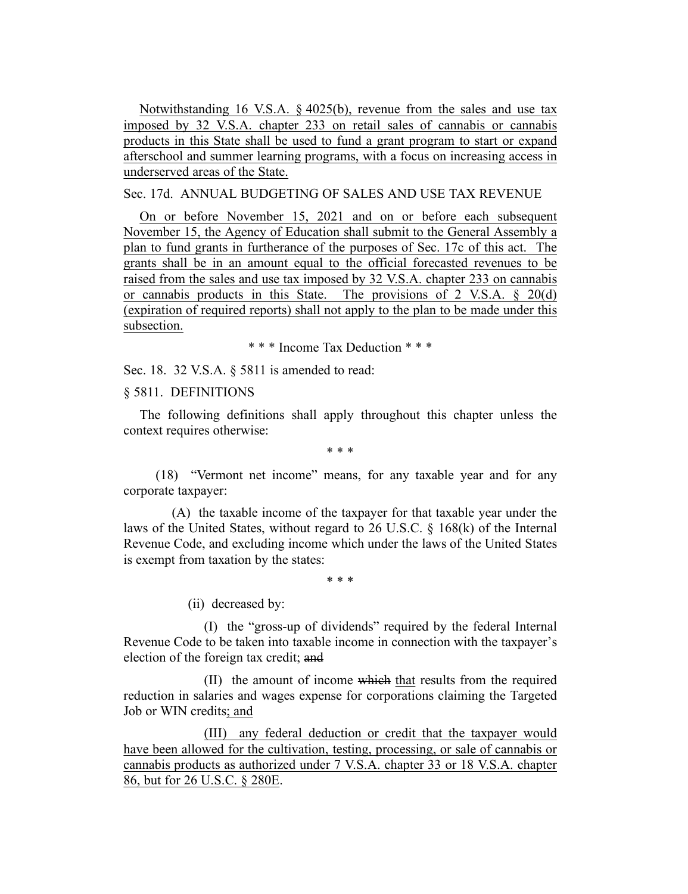Notwithstanding 16 V.S.A. § 4025(b), revenue from the sales and use tax imposed by 32 V.S.A. chapter 233 on retail sales of cannabis or cannabis products in this State shall be used to fund a grant program to start or expand afterschool and summer learning programs, with a focus on increasing access in underserved areas of the State.

Sec. 17d. ANNUAL BUDGETING OF SALES AND USE TAX REVENUE

On or before November 15, 2021 and on or before each subsequent November 15, the Agency of Education shall submit to the General Assembly a plan to fund grants in furtherance of the purposes of Sec. 17c of this act. The grants shall be in an amount equal to the official forecasted revenues to be raised from the sales and use tax imposed by 32 V.S.A. chapter 233 on cannabis or cannabis products in this State. The provisions of 2 V.S.A. § 20(d) (expiration of required reports) shall not apply to the plan to be made under this subsection.

\* \* \* Income Tax Deduction \* \* \*

Sec. 18. 32 V.S.A. § 5811 is amended to read:

§ 5811. DEFINITIONS

The following definitions shall apply throughout this chapter unless the context requires otherwise:

\* \* \*

(18) "Vermont net income" means, for any taxable year and for any corporate taxpayer:

(A) the taxable income of the taxpayer for that taxable year under the laws of the United States, without regard to 26 U.S.C. § 168(k) of the Internal Revenue Code, and excluding income which under the laws of the United States is exempt from taxation by the states:

\* \* \*

(ii) decreased by:

(I) the "gross-up of dividends" required by the federal Internal Revenue Code to be taken into taxable income in connection with the taxpayer's election of the foreign tax credit; and

(II) the amount of income which that results from the required reduction in salaries and wages expense for corporations claiming the Targeted Job or WIN credits; and

(III) any federal deduction or credit that the taxpayer would have been allowed for the cultivation, testing, processing, or sale of cannabis or cannabis products as authorized under 7 V.S.A. chapter 33 or 18 V.S.A. chapter 86, but for 26 U.S.C. § 280E.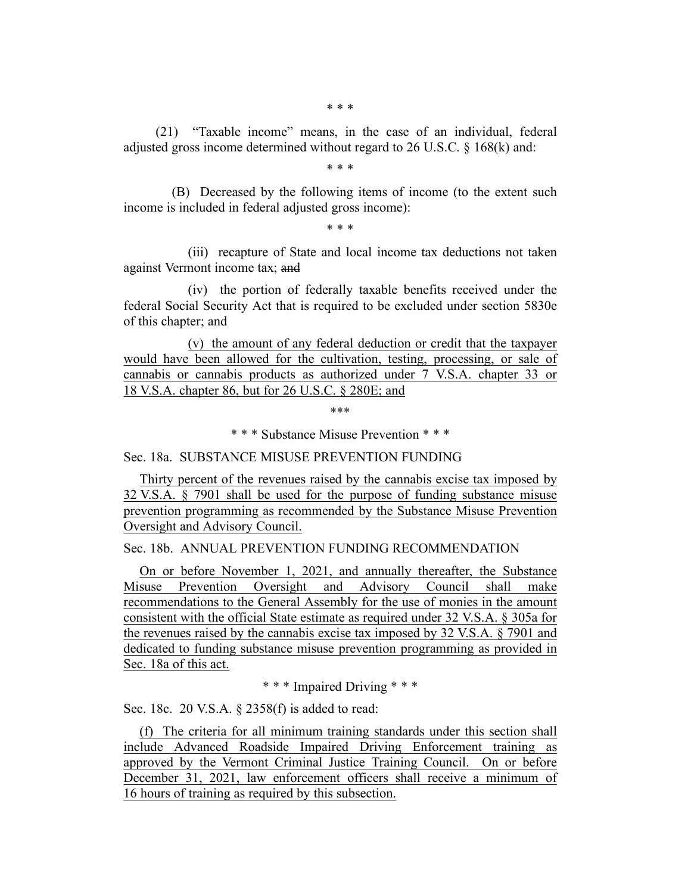(21) "Taxable income" means, in the case of an individual, federal adjusted gross income determined without regard to 26 U.S.C. § 168(k) and:

\* \* \*

(B) Decreased by the following items of income (to the extent such income is included in federal adjusted gross income):

\* \* \*

(iii) recapture of State and local income tax deductions not taken against Vermont income tax; and

(iv) the portion of federally taxable benefits received under the federal Social Security Act that is required to be excluded under section 5830e of this chapter; and

(v) the amount of any federal deduction or credit that the taxpayer would have been allowed for the cultivation, testing, processing, or sale of cannabis or cannabis products as authorized under 7 V.S.A. chapter 33 or 18 V.S.A. chapter 86, but for 26 U.S.C. § 280E; and

\*\*\*

\* \* \* Substance Misuse Prevention \* \* \*

Sec. 18a. SUBSTANCE MISUSE PREVENTION FUNDING

Thirty percent of the revenues raised by the cannabis excise tax imposed by 32 V.S.A. § 7901 shall be used for the purpose of funding substance misuse prevention programming as recommended by the Substance Misuse Prevention Oversight and Advisory Council.

Sec. 18b. ANNUAL PREVENTION FUNDING RECOMMENDATION

On or before November 1, 2021, and annually thereafter, the Substance Misuse Prevention Oversight and Advisory Council shall make recommendations to the General Assembly for the use of monies in the amount consistent with the official State estimate as required under 32 V.S.A. § 305a for the revenues raised by the cannabis excise tax imposed by 32 V.S.A. § 7901 and dedicated to funding substance misuse prevention programming as provided in Sec. 18a of this act.

\* \* \* Impaired Driving \* \* \*

Sec. 18c. 20 V.S.A. § 2358(f) is added to read:

(f) The criteria for all minimum training standards under this section shall include Advanced Roadside Impaired Driving Enforcement training as approved by the Vermont Criminal Justice Training Council. On or before December 31, 2021, law enforcement officers shall receive a minimum of 16 hours of training as required by this subsection.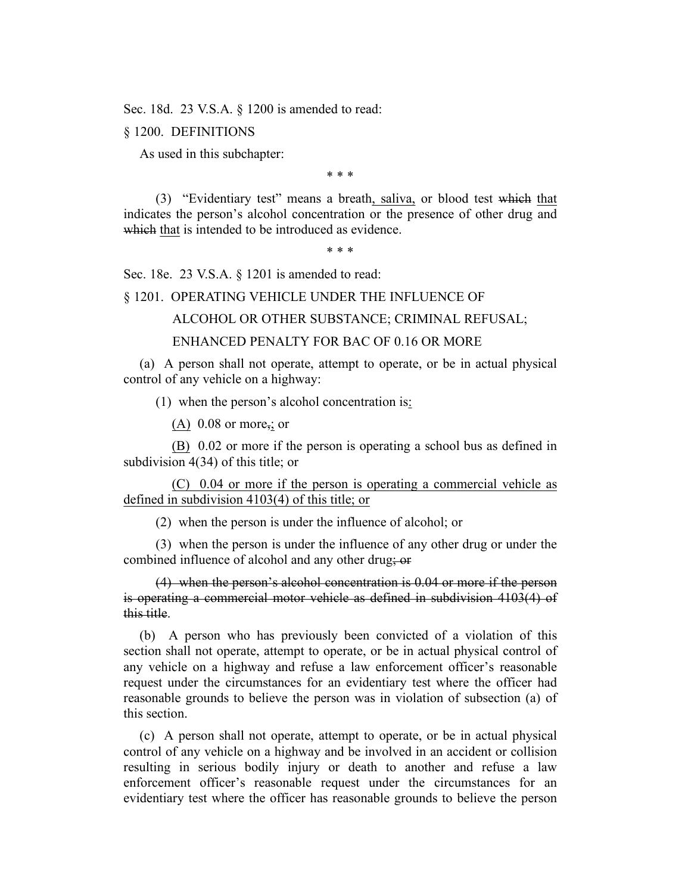Sec. 18d. 23 V.S.A. § 1200 is amended to read:

§ 1200. DEFINITIONS

As used in this subchapter:

\* \* \*

(3) "Evidentiary test" means a breath, saliva, or blood test which that indicates the person's alcohol concentration or the presence of other drug and which that is intended to be introduced as evidence.

\* \* \*

Sec. 18e. 23 V.S.A. § 1201 is amended to read:

§ 1201. OPERATING VEHICLE UNDER THE INFLUENCE OF

ALCOHOL OR OTHER SUBSTANCE; CRIMINAL REFUSAL;

ENHANCED PENALTY FOR BAC OF 0.16 OR MORE

(a) A person shall not operate, attempt to operate, or be in actual physical control of any vehicle on a highway:

(1) when the person's alcohol concentration is:

(A)  $0.08$  or more<sub>5</sub>; or

(B) 0.02 or more if the person is operating a school bus as defined in subdivision 4(34) of this title; or

(C) 0.04 or more if the person is operating a commercial vehicle as defined in subdivision 4103(4) of this title; or

(2) when the person is under the influence of alcohol; or

(3) when the person is under the influence of any other drug or under the combined influence of alcohol and any other drug; or

(4) when the person's alcohol concentration is 0.04 or more if the person is operating a commercial motor vehicle as defined in subdivision 4103(4) of this title.

(b) A person who has previously been convicted of a violation of this section shall not operate, attempt to operate, or be in actual physical control of any vehicle on a highway and refuse a law enforcement officer's reasonable request under the circumstances for an evidentiary test where the officer had reasonable grounds to believe the person was in violation of subsection (a) of this section.

(c) A person shall not operate, attempt to operate, or be in actual physical control of any vehicle on a highway and be involved in an accident or collision resulting in serious bodily injury or death to another and refuse a law enforcement officer's reasonable request under the circumstances for an evidentiary test where the officer has reasonable grounds to believe the person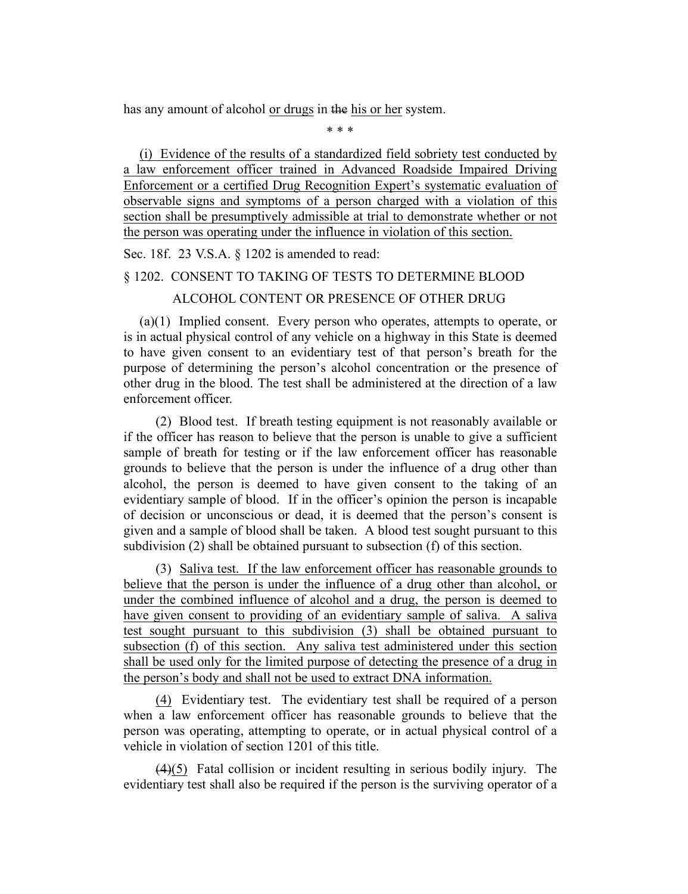has any amount of alcohol or drugs in the his or her system.

\* \* \*

(i) Evidence of the results of a standardized field sobriety test conducted by a law enforcement officer trained in Advanced Roadside Impaired Driving Enforcement or a certified Drug Recognition Expert's systematic evaluation of observable signs and symptoms of a person charged with a violation of this section shall be presumptively admissible at trial to demonstrate whether or not the person was operating under the influence in violation of this section.

#### Sec. 18f. 23 V.S.A. § 1202 is amended to read:

# § 1202. CONSENT TO TAKING OF TESTS TO DETERMINE BLOOD ALCOHOL CONTENT OR PRESENCE OF OTHER DRUG

(a)(1) Implied consent. Every person who operates, attempts to operate, or is in actual physical control of any vehicle on a highway in this State is deemed to have given consent to an evidentiary test of that person's breath for the purpose of determining the person's alcohol concentration or the presence of other drug in the blood. The test shall be administered at the direction of a law enforcement officer.

(2) Blood test. If breath testing equipment is not reasonably available or if the officer has reason to believe that the person is unable to give a sufficient sample of breath for testing or if the law enforcement officer has reasonable grounds to believe that the person is under the influence of a drug other than alcohol, the person is deemed to have given consent to the taking of an evidentiary sample of blood. If in the officer's opinion the person is incapable of decision or unconscious or dead, it is deemed that the person's consent is given and a sample of blood shall be taken. A blood test sought pursuant to this subdivision (2) shall be obtained pursuant to subsection (f) of this section.

(3) Saliva test. If the law enforcement officer has reasonable grounds to believe that the person is under the influence of a drug other than alcohol, or under the combined influence of alcohol and a drug, the person is deemed to have given consent to providing of an evidentiary sample of saliva. A saliva test sought pursuant to this subdivision (3) shall be obtained pursuant to subsection (f) of this section. Any saliva test administered under this section shall be used only for the limited purpose of detecting the presence of a drug in the person's body and shall not be used to extract DNA information.

(4) Evidentiary test. The evidentiary test shall be required of a person when a law enforcement officer has reasonable grounds to believe that the person was operating, attempting to operate, or in actual physical control of a vehicle in violation of section 1201 of this title.

(4)(5) Fatal collision or incident resulting in serious bodily injury. The evidentiary test shall also be required if the person is the surviving operator of a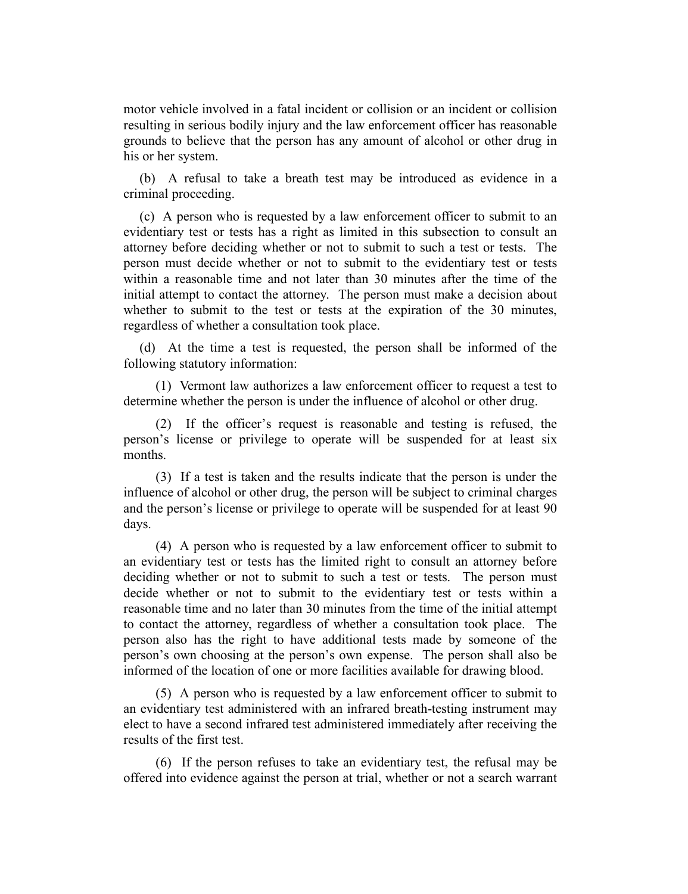motor vehicle involved in a fatal incident or collision or an incident or collision resulting in serious bodily injury and the law enforcement officer has reasonable grounds to believe that the person has any amount of alcohol or other drug in his or her system.

(b) A refusal to take a breath test may be introduced as evidence in a criminal proceeding.

(c) A person who is requested by a law enforcement officer to submit to an evidentiary test or tests has a right as limited in this subsection to consult an attorney before deciding whether or not to submit to such a test or tests. The person must decide whether or not to submit to the evidentiary test or tests within a reasonable time and not later than 30 minutes after the time of the initial attempt to contact the attorney. The person must make a decision about whether to submit to the test or tests at the expiration of the 30 minutes, regardless of whether a consultation took place.

(d) At the time a test is requested, the person shall be informed of the following statutory information:

(1) Vermont law authorizes a law enforcement officer to request a test to determine whether the person is under the influence of alcohol or other drug.

(2) If the officer's request is reasonable and testing is refused, the person's license or privilege to operate will be suspended for at least six months.

(3) If a test is taken and the results indicate that the person is under the influence of alcohol or other drug, the person will be subject to criminal charges and the person's license or privilege to operate will be suspended for at least 90 days.

(4) A person who is requested by a law enforcement officer to submit to an evidentiary test or tests has the limited right to consult an attorney before deciding whether or not to submit to such a test or tests. The person must decide whether or not to submit to the evidentiary test or tests within a reasonable time and no later than 30 minutes from the time of the initial attempt to contact the attorney, regardless of whether a consultation took place. The person also has the right to have additional tests made by someone of the person's own choosing at the person's own expense. The person shall also be informed of the location of one or more facilities available for drawing blood.

(5) A person who is requested by a law enforcement officer to submit to an evidentiary test administered with an infrared breath-testing instrument may elect to have a second infrared test administered immediately after receiving the results of the first test.

(6) If the person refuses to take an evidentiary test, the refusal may be offered into evidence against the person at trial, whether or not a search warrant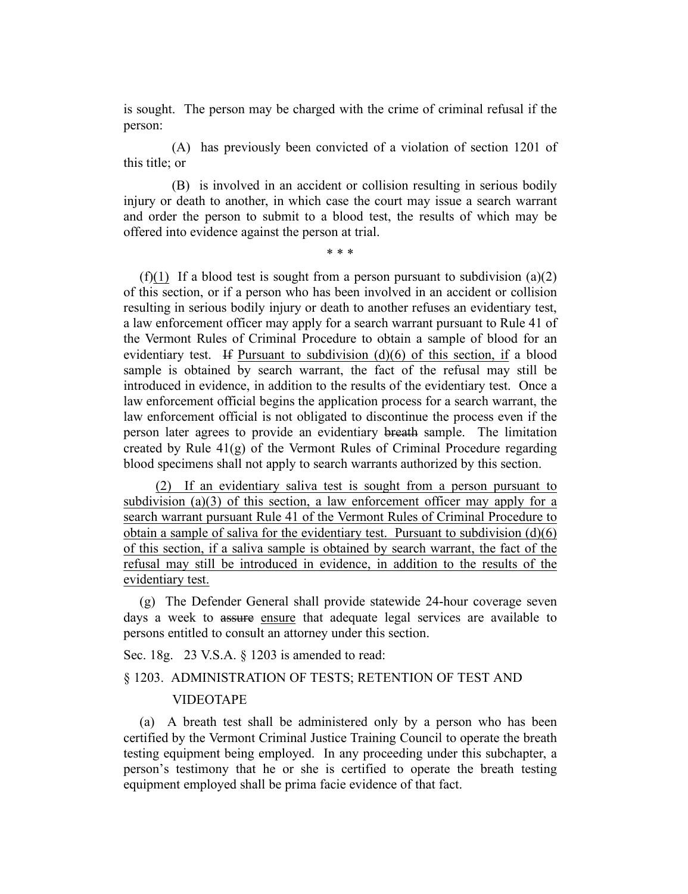is sought. The person may be charged with the crime of criminal refusal if the person:

(A) has previously been convicted of a violation of section 1201 of this title; or

(B) is involved in an accident or collision resulting in serious bodily injury or death to another, in which case the court may issue a search warrant and order the person to submit to a blood test, the results of which may be offered into evidence against the person at trial.

\* \* \*

(f)(1) If a blood test is sought from a person pursuant to subdivision (a)(2) of this section, or if a person who has been involved in an accident or collision resulting in serious bodily injury or death to another refuses an evidentiary test, a law enforcement officer may apply for a search warrant pursuant to Rule 41 of the Vermont Rules of Criminal Procedure to obtain a sample of blood for an evidentiary test. If Pursuant to subdivision (d)(6) of this section, if a blood sample is obtained by search warrant, the fact of the refusal may still be introduced in evidence, in addition to the results of the evidentiary test. Once a law enforcement official begins the application process for a search warrant, the law enforcement official is not obligated to discontinue the process even if the person later agrees to provide an evidentiary breath sample. The limitation created by Rule 41(g) of the Vermont Rules of Criminal Procedure regarding blood specimens shall not apply to search warrants authorized by this section.

(2) If an evidentiary saliva test is sought from a person pursuant to subdivision (a)(3) of this section, a law enforcement officer may apply for a search warrant pursuant Rule 41 of the Vermont Rules of Criminal Procedure to obtain a sample of saliva for the evidentiary test. Pursuant to subdivision (d)(6) of this section, if a saliva sample is obtained by search warrant, the fact of the refusal may still be introduced in evidence, in addition to the results of the evidentiary test.

(g) The Defender General shall provide statewide 24-hour coverage seven days a week to assure ensure that adequate legal services are available to persons entitled to consult an attorney under this section.

Sec. 18g. 23 V.S.A. § 1203 is amended to read:

# § 1203. ADMINISTRATION OF TESTS; RETENTION OF TEST AND VIDEOTAPE

(a) A breath test shall be administered only by a person who has been certified by the Vermont Criminal Justice Training Council to operate the breath testing equipment being employed. In any proceeding under this subchapter, a person's testimony that he or she is certified to operate the breath testing equipment employed shall be prima facie evidence of that fact.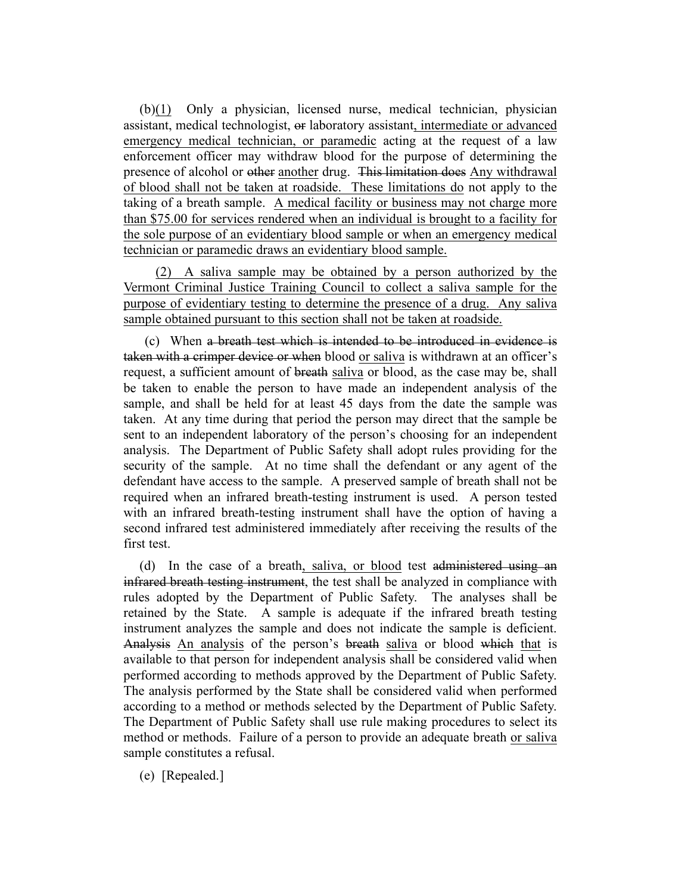(b)(1) Only a physician, licensed nurse, medical technician, physician assistant, medical technologist, or laboratory assistant, intermediate or advanced emergency medical technician, or paramedic acting at the request of a law enforcement officer may withdraw blood for the purpose of determining the presence of alcohol or other another drug. This limitation does Any withdrawal of blood shall not be taken at roadside. These limitations do not apply to the taking of a breath sample. A medical facility or business may not charge more than \$75.00 for services rendered when an individual is brought to a facility for the sole purpose of an evidentiary blood sample or when an emergency medical technician or paramedic draws an evidentiary blood sample.

(2) A saliva sample may be obtained by a person authorized by the Vermont Criminal Justice Training Council to collect a saliva sample for the purpose of evidentiary testing to determine the presence of a drug. Any saliva sample obtained pursuant to this section shall not be taken at roadside.

(c) When a breath test which is intended to be introduced in evidence is taken with a crimper device or when blood or saliva is withdrawn at an officer's request, a sufficient amount of breath saliva or blood, as the case may be, shall be taken to enable the person to have made an independent analysis of the sample, and shall be held for at least 45 days from the date the sample was taken. At any time during that period the person may direct that the sample be sent to an independent laboratory of the person's choosing for an independent analysis. The Department of Public Safety shall adopt rules providing for the security of the sample. At no time shall the defendant or any agent of the defendant have access to the sample. A preserved sample of breath shall not be required when an infrared breath-testing instrument is used. A person tested with an infrared breath-testing instrument shall have the option of having a second infrared test administered immediately after receiving the results of the first test.

(d) In the case of a breath, saliva, or blood test administered using an infrared breath testing instrument, the test shall be analyzed in compliance with rules adopted by the Department of Public Safety. The analyses shall be retained by the State. A sample is adequate if the infrared breath testing instrument analyzes the sample and does not indicate the sample is deficient. Analysis An analysis of the person's breath saliva or blood which that is available to that person for independent analysis shall be considered valid when performed according to methods approved by the Department of Public Safety. The analysis performed by the State shall be considered valid when performed according to a method or methods selected by the Department of Public Safety. The Department of Public Safety shall use rule making procedures to select its method or methods. Failure of a person to provide an adequate breath or saliva sample constitutes a refusal.

(e) [Repealed.]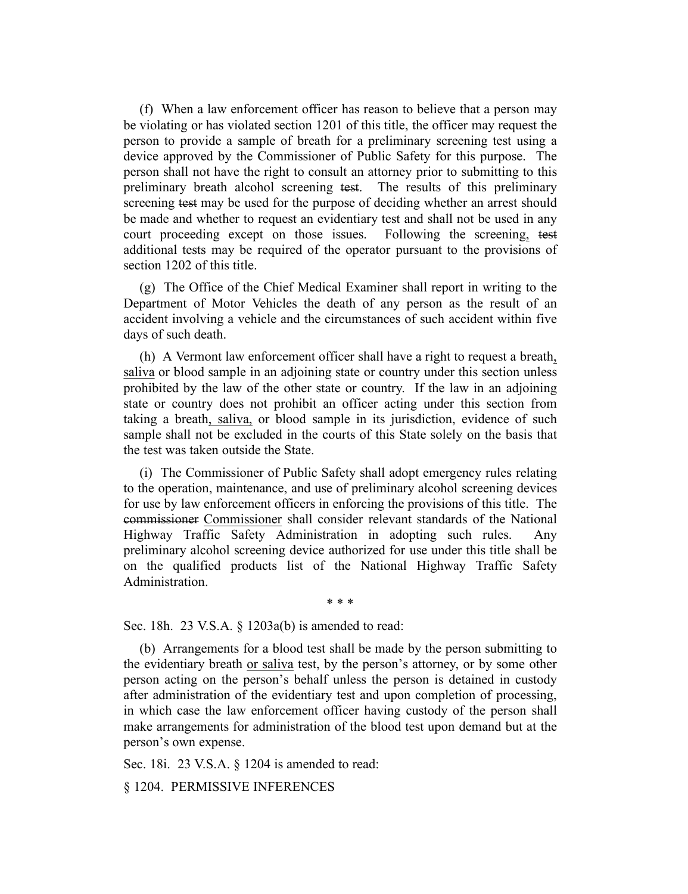(f) When a law enforcement officer has reason to believe that a person may be violating or has violated section 1201 of this title, the officer may request the person to provide a sample of breath for a preliminary screening test using a device approved by the Commissioner of Public Safety for this purpose. The person shall not have the right to consult an attorney prior to submitting to this preliminary breath alcohol screening test. The results of this preliminary screening test may be used for the purpose of deciding whether an arrest should be made and whether to request an evidentiary test and shall not be used in any court proceeding except on those issues. Following the screening, test additional tests may be required of the operator pursuant to the provisions of section 1202 of this title.

(g) The Office of the Chief Medical Examiner shall report in writing to the Department of Motor Vehicles the death of any person as the result of an accident involving a vehicle and the circumstances of such accident within five days of such death.

(h) A Vermont law enforcement officer shall have a right to request a breath, saliva or blood sample in an adjoining state or country under this section unless prohibited by the law of the other state or country. If the law in an adjoining state or country does not prohibit an officer acting under this section from taking a breath, saliva, or blood sample in its jurisdiction, evidence of such sample shall not be excluded in the courts of this State solely on the basis that the test was taken outside the State.

(i) The Commissioner of Public Safety shall adopt emergency rules relating to the operation, maintenance, and use of preliminary alcohol screening devices for use by law enforcement officers in enforcing the provisions of this title. The commissioner Commissioner shall consider relevant standards of the National Highway Traffic Safety Administration in adopting such rules. Any preliminary alcohol screening device authorized for use under this title shall be on the qualified products list of the National Highway Traffic Safety Administration.

\* \* \*

Sec. 18h. 23 V.S.A. § 1203a(b) is amended to read:

(b) Arrangements for a blood test shall be made by the person submitting to the evidentiary breath or saliva test, by the person's attorney, or by some other person acting on the person's behalf unless the person is detained in custody after administration of the evidentiary test and upon completion of processing, in which case the law enforcement officer having custody of the person shall make arrangements for administration of the blood test upon demand but at the person's own expense.

Sec. 18i. 23 V.S.A. § 1204 is amended to read:

§ 1204. PERMISSIVE INFERENCES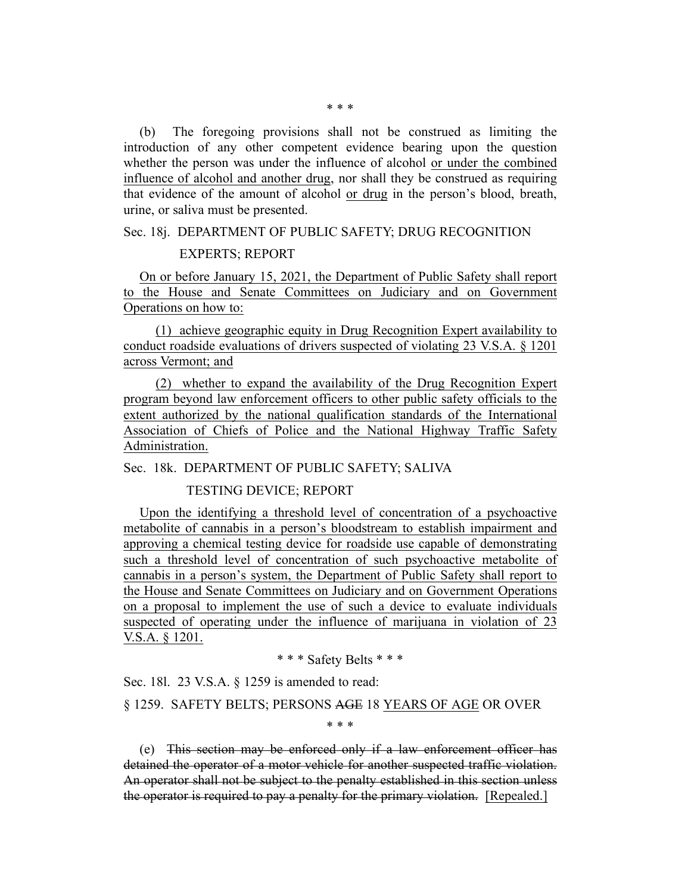(b) The foregoing provisions shall not be construed as limiting the introduction of any other competent evidence bearing upon the question whether the person was under the influence of alcohol or under the combined influence of alcohol and another drug, nor shall they be construed as requiring that evidence of the amount of alcohol or drug in the person's blood, breath, urine, or saliva must be presented.

## Sec. 18j. DEPARTMENT OF PUBLIC SAFETY; DRUG RECOGNITION

## EXPERTS; REPORT

On or before January 15, 2021, the Department of Public Safety shall report to the House and Senate Committees on Judiciary and on Government Operations on how to:

(1) achieve geographic equity in Drug Recognition Expert availability to conduct roadside evaluations of drivers suspected of violating 23 V.S.A. § 1201 across Vermont; and

(2) whether to expand the availability of the Drug Recognition Expert program beyond law enforcement officers to other public safety officials to the extent authorized by the national qualification standards of the International Association of Chiefs of Police and the National Highway Traffic Safety Administration.

Sec. 18k. DEPARTMENT OF PUBLIC SAFETY; SALIVA

TESTING DEVICE; REPORT

Upon the identifying a threshold level of concentration of a psychoactive metabolite of cannabis in a person's bloodstream to establish impairment and approving a chemical testing device for roadside use capable of demonstrating such a threshold level of concentration of such psychoactive metabolite of cannabis in a person's system, the Department of Public Safety shall report to the House and Senate Committees on Judiciary and on Government Operations on a proposal to implement the use of such a device to evaluate individuals suspected of operating under the influence of marijuana in violation of 23 V.S.A. § 1201.

\* \* \* Safety Belts \* \* \*

Sec. 18l. 23 V.S.A. § 1259 is amended to read:

§ 1259. SAFETY BELTS; PERSONS AGE 18 YEARS OF AGE OR OVER

\* \* \*

(e) This section may be enforced only if a law enforcement officer has detained the operator of a motor vehicle for another suspected traffic violation. An operator shall not be subject to the penalty established in this section unless the operator is required to pay a penalty for the primary violation. [Repealed.]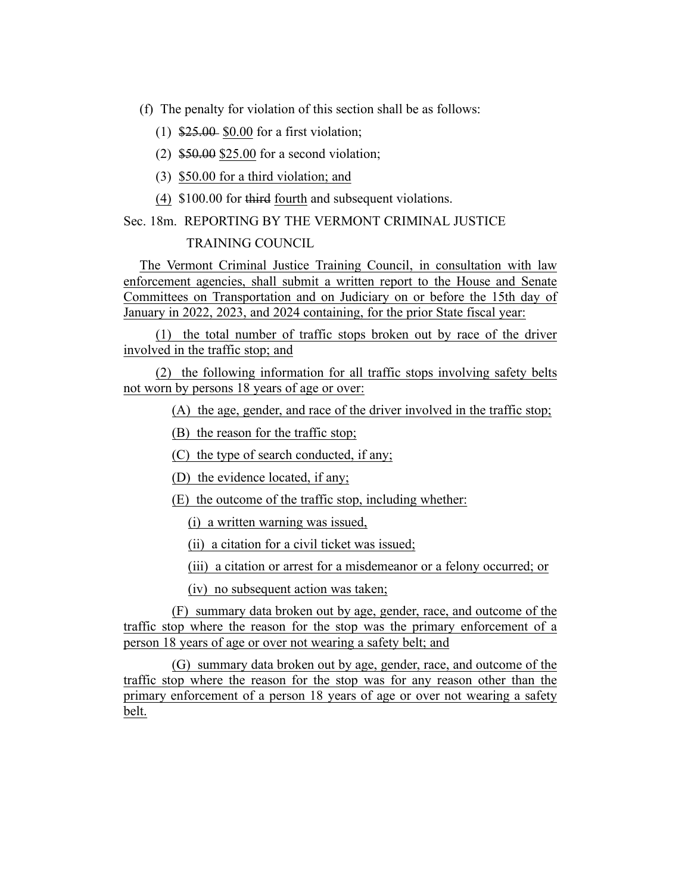(f) The penalty for violation of this section shall be as follows:

- (1) \$25.00 \$0.00 for a first violation;
- (2) \$50.00 \$25.00 for a second violation;
- (3) \$50.00 for a third violation; and
- (4) \$100.00 for third fourth and subsequent violations.

Sec. 18m. REPORTING BY THE VERMONT CRIMINAL JUSTICE

## TRAINING COUNCIL

The Vermont Criminal Justice Training Council, in consultation with law enforcement agencies, shall submit a written report to the House and Senate Committees on Transportation and on Judiciary on or before the 15th day of January in 2022, 2023, and 2024 containing, for the prior State fiscal year:

(1) the total number of traffic stops broken out by race of the driver involved in the traffic stop; and

(2) the following information for all traffic stops involving safety belts not worn by persons 18 years of age or over:

(A) the age, gender, and race of the driver involved in the traffic stop;

(B) the reason for the traffic stop;

(C) the type of search conducted, if any;

(D) the evidence located, if any;

(E) the outcome of the traffic stop, including whether:

(i) a written warning was issued,

(ii) a citation for a civil ticket was issued;

(iii) a citation or arrest for a misdemeanor or a felony occurred; or

(iv) no subsequent action was taken;

(F) summary data broken out by age, gender, race, and outcome of the traffic stop where the reason for the stop was the primary enforcement of a person 18 years of age or over not wearing a safety belt; and

(G) summary data broken out by age, gender, race, and outcome of the traffic stop where the reason for the stop was for any reason other than the primary enforcement of a person 18 years of age or over not wearing a safety belt.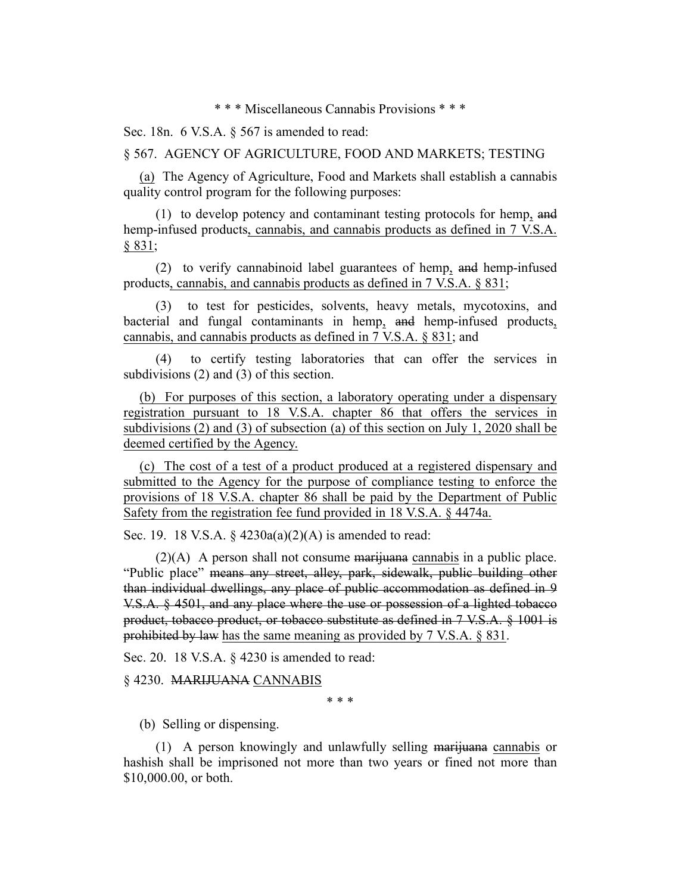\* \* \* Miscellaneous Cannabis Provisions \* \* \*

Sec. 18n. 6 V.S.A. § 567 is amended to read:

§ 567. AGENCY OF AGRICULTURE, FOOD AND MARKETS; TESTING

(a) The Agency of Agriculture, Food and Markets shall establish a cannabis quality control program for the following purposes:

(1) to develop potency and contaminant testing protocols for hemp, and hemp-infused products, cannabis, and cannabis products as defined in 7 V.S.A. § 831;

(2) to verify cannabinoid label guarantees of hemp, and hemp-infused products, cannabis, and cannabis products as defined in 7 V.S.A. § 831;

(3) to test for pesticides, solvents, heavy metals, mycotoxins, and bacterial and fungal contaminants in hemp, and hemp-infused products, cannabis, and cannabis products as defined in 7 V.S.A. § 831; and

(4) to certify testing laboratories that can offer the services in subdivisions (2) and (3) of this section.

(b) For purposes of this section, a laboratory operating under a dispensary registration pursuant to 18 V.S.A. chapter 86 that offers the services in subdivisions (2) and (3) of subsection (a) of this section on July 1, 2020 shall be deemed certified by the Agency.

(c) The cost of a test of a product produced at a registered dispensary and submitted to the Agency for the purpose of compliance testing to enforce the provisions of 18 V.S.A. chapter 86 shall be paid by the Department of Public Safety from the registration fee fund provided in 18 V.S.A. § 4474a.

Sec. 19. 18 V.S.A. § 4230a(a)(2)(A) is amended to read:

 $(2)(A)$  A person shall not consume marijuana cannabis in a public place. "Public place" means any street, alley, park, sidewalk, public building other than individual dwellings, any place of public accommodation as defined in 9 V.S.A. § 4501, and any place where the use or possession of a lighted tobacco product, tobacco product, or tobacco substitute as defined in 7 V.S.A. § 1001 is prohibited by law has the same meaning as provided by 7 V.S.A. § 831.

Sec. 20. 18 V.S.A. § 4230 is amended to read:

§ 4230. MARIJUANA CANNABIS

\* \* \*

(b) Selling or dispensing.

(1) A person knowingly and unlawfully selling marijuana cannabis or hashish shall be imprisoned not more than two years or fined not more than \$10,000.00, or both.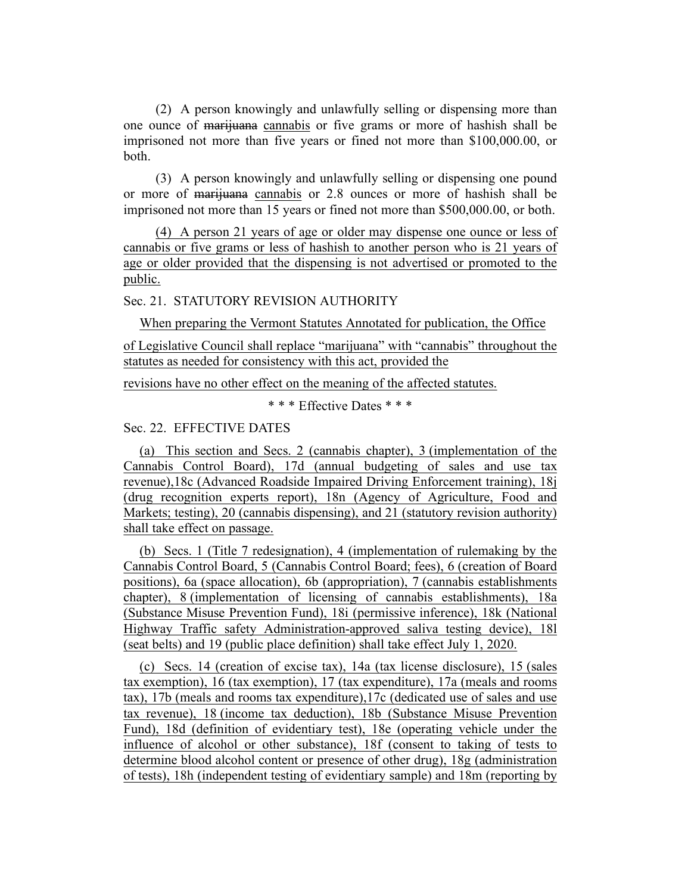(2) A person knowingly and unlawfully selling or dispensing more than one ounce of marijuana cannabis or five grams or more of hashish shall be imprisoned not more than five years or fined not more than \$100,000.00, or both.

(3) A person knowingly and unlawfully selling or dispensing one pound or more of marijuana cannabis or 2.8 ounces or more of hashish shall be imprisoned not more than 15 years or fined not more than \$500,000.00, or both.

(4) A person 21 years of age or older may dispense one ounce or less of cannabis or five grams or less of hashish to another person who is 21 years of age or older provided that the dispensing is not advertised or promoted to the public.

Sec. 21. STATUTORY REVISION AUTHORITY

When preparing the Vermont Statutes Annotated for publication, the Office

of Legislative Council shall replace "marijuana" with "cannabis" throughout the statutes as needed for consistency with this act, provided the

revisions have no other effect on the meaning of the affected statutes.

\* \* \* Effective Dates \* \* \*

Sec. 22. EFFECTIVE DATES

(a) This section and Secs. 2 (cannabis chapter), 3 (implementation of the Cannabis Control Board), 17d (annual budgeting of sales and use tax revenue),18c (Advanced Roadside Impaired Driving Enforcement training), 18j (drug recognition experts report), 18n (Agency of Agriculture, Food and Markets; testing), 20 (cannabis dispensing), and 21 (statutory revision authority) shall take effect on passage.

(b) Secs. 1 (Title 7 redesignation), 4 (implementation of rulemaking by the Cannabis Control Board, 5 (Cannabis Control Board; fees), 6 (creation of Board positions), 6a (space allocation), 6b (appropriation), 7 (cannabis establishments chapter), 8 (implementation of licensing of cannabis establishments), 18a (Substance Misuse Prevention Fund), 18i (permissive inference), 18k (National Highway Traffic safety Administration-approved saliva testing device), 18l (seat belts) and 19 (public place definition) shall take effect July 1, 2020.

(c) Secs. 14 (creation of excise tax), 14a (tax license disclosure), 15 (sales tax exemption), 16 (tax exemption), 17 (tax expenditure), 17a (meals and rooms tax), 17b (meals and rooms tax expenditure),17c (dedicated use of sales and use tax revenue), 18 (income tax deduction), 18b (Substance Misuse Prevention Fund), 18d (definition of evidentiary test), 18e (operating vehicle under the influence of alcohol or other substance), 18f (consent to taking of tests to determine blood alcohol content or presence of other drug), 18g (administration of tests), 18h (independent testing of evidentiary sample) and 18m (reporting by